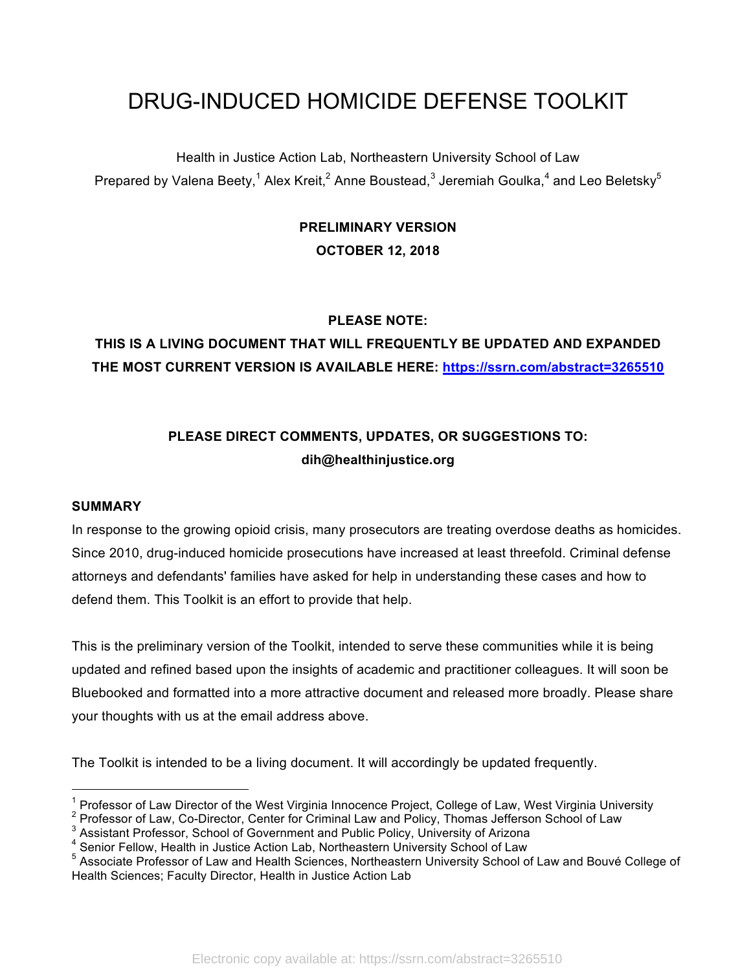## DRUG-INDUCED HOMICIDE DEFENSE TOOLKIT

Health in Justice Action Lab, Northeastern University School of Law Prepared by Valena Beety,<sup>1</sup> Alex Kreit,<sup>2</sup> Anne Boustead,<sup>3</sup> Jeremiah Goulka,<sup>4</sup> and Leo Beletsky<sup>5</sup>

### **PRELIMINARY VERSION**

**OCTOBER 12, 2018**

### **PLEASE NOTE:**

## **THIS IS A LIVING DOCUMENT THAT WILL FREQUENTLY BE UPDATED AND EXPANDED THE MOST CURRENT VERSION IS AVAILABLE HERE: https://ssrn.com/abstract=3265510**

## **PLEASE DIRECT COMMENTS, UPDATES, OR SUGGESTIONS TO: dih@healthinjustice.org**

### **SUMMARY**

In response to the growing opioid crisis, many prosecutors are treating overdose deaths as homicides. Since 2010, drug-induced homicide prosecutions have increased at least threefold. Criminal defense attorneys and defendants' families have asked for help in understanding these cases and how to defend them. This Toolkit is an effort to provide that help.

This is the preliminary version of the Toolkit, intended to serve these communities while it is being updated and refined based upon the insights of academic and practitioner colleagues. It will soon be Bluebooked and formatted into a more attractive document and released more broadly. Please share your thoughts with us at the email address above.

The Toolkit is intended to be a living document. It will accordingly be updated frequently.

<sup>|&</sup>lt;br>1 <sup>1</sup> Professor of Law Director of the West Virginia Innocence Project, College of Law, West Virginia University

<sup>&</sup>lt;sup>2</sup> Professor of Law, Co-Director, Center for Criminal Law and Policy, Thomas Jefferson School of Law  $\frac{3}{2}$  Assistant Professor, School of Covernment and Public Policy, University of Arizona

<sup>&</sup>lt;sup>3</sup> Assistant Professor, School of Government and Public Policy, University of Arizona

A Senior Fellow, Health in Justice Action Lab, Northeastern University School of Law

 $<sup>5</sup>$  Associate Professor of Law and Health Sciences, Northeastern University School of Law and Bouvé College of</sup> Health Sciences; Faculty Director, Health in Justice Action Lab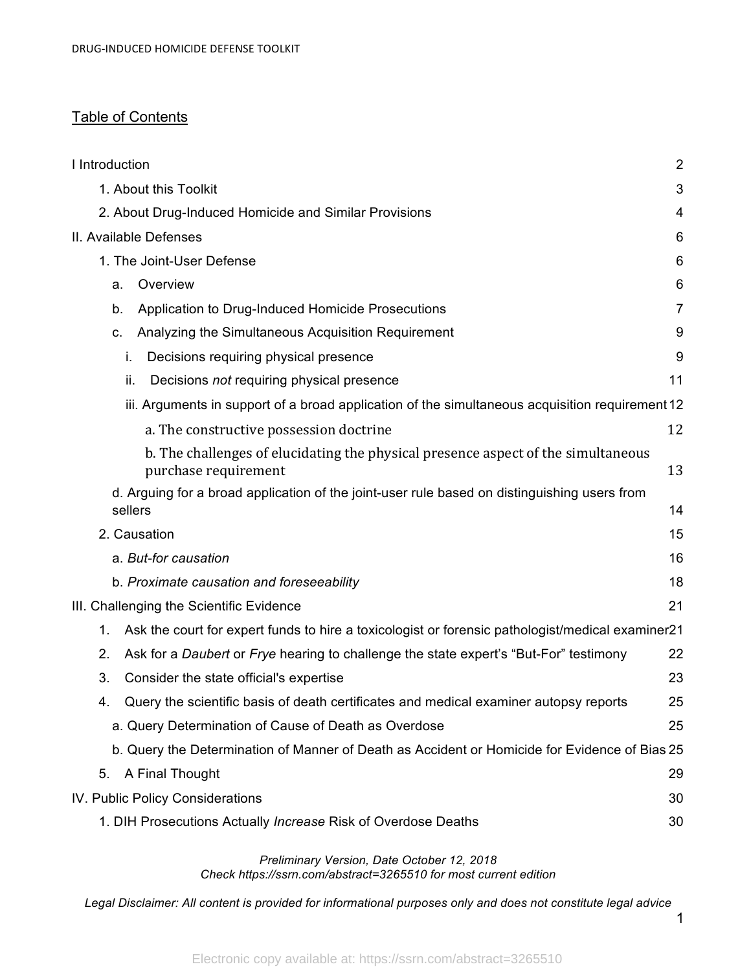## Table of Contents

| I Introduction                                                                                            | $\overline{2}$ |
|-----------------------------------------------------------------------------------------------------------|----------------|
| 1. About this Toolkit                                                                                     | 3              |
| 2. About Drug-Induced Homicide and Similar Provisions                                                     | 4              |
| II. Available Defenses                                                                                    |                |
| 1. The Joint-User Defense                                                                                 | 6              |
| Overview<br>a.                                                                                            | 6              |
| Application to Drug-Induced Homicide Prosecutions<br>b.                                                   | $\overline{7}$ |
| Analyzing the Simultaneous Acquisition Requirement<br>C.                                                  | 9              |
| Decisions requiring physical presence<br>i.                                                               | 9              |
| ii.<br>Decisions not requiring physical presence                                                          | 11             |
| iii. Arguments in support of a broad application of the simultaneous acquisition requirement 12           |                |
| a. The constructive possession doctrine                                                                   | 12             |
| b. The challenges of elucidating the physical presence aspect of the simultaneous<br>purchase requirement | 13             |
| d. Arguing for a broad application of the joint-user rule based on distinguishing users from<br>sellers   | 14             |
| 2. Causation                                                                                              | 15             |
| a. But-for causation                                                                                      | 16             |
| b. Proximate causation and foreseeability                                                                 | 18             |
| III. Challenging the Scientific Evidence                                                                  | 21             |
| Ask the court for expert funds to hire a toxicologist or forensic pathologist/medical examiner21<br>1.    |                |
| 2.<br>Ask for a Daubert or Frye hearing to challenge the state expert's "But-For" testimony               | 22             |
| 3.<br>Consider the state official's expertise                                                             | 23             |
| Query the scientific basis of death certificates and medical examiner autopsy reports<br>4.               | 25             |
| a. Query Determination of Cause of Death as Overdose                                                      | 25             |
| b. Query the Determination of Manner of Death as Accident or Homicide for Evidence of Bias 25             |                |
| A Final Thought<br>5.                                                                                     | 29             |
| IV. Public Policy Considerations                                                                          | 30             |
| 1. DIH Prosecutions Actually Increase Risk of Overdose Deaths                                             | 30             |

#### *Preliminary Version, Date October 12, 2018 Check https://ssrn.com/abstract=3265510 for most current edition*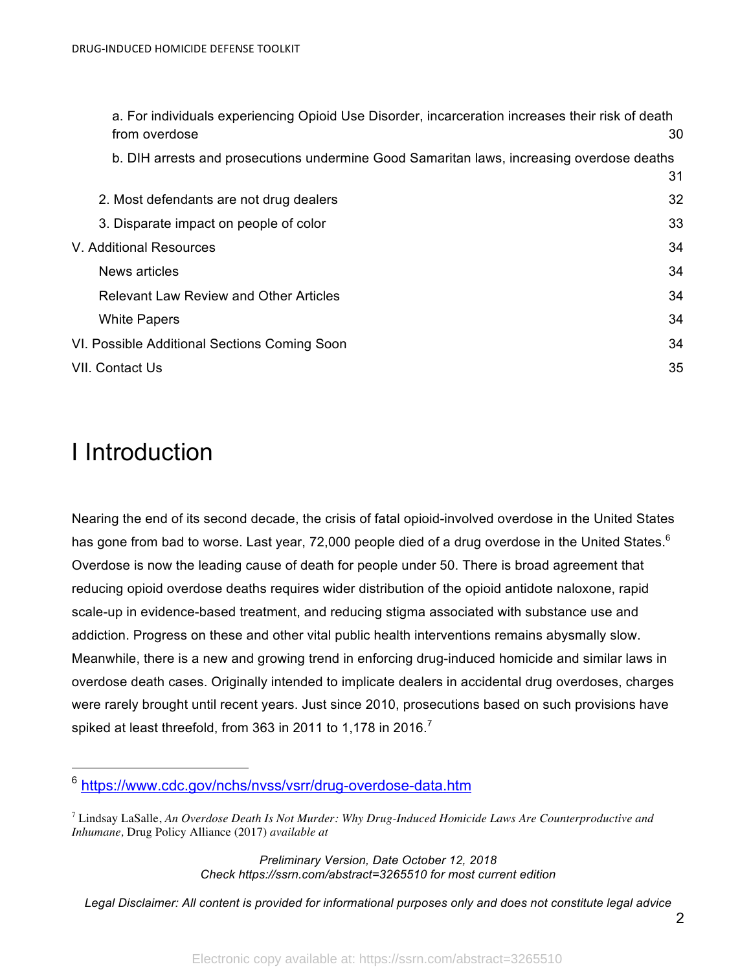| a. For individuals experiencing Opioid Use Disorder, incarceration increases their risk of death<br>from overdose | 30 |
|-------------------------------------------------------------------------------------------------------------------|----|
| b. DIH arrests and prosecutions undermine Good Samaritan laws, increasing overdose deaths                         |    |
|                                                                                                                   | 31 |
| 2. Most defendants are not drug dealers                                                                           | 32 |
| 3. Disparate impact on people of color                                                                            | 33 |
| V. Additional Resources                                                                                           | 34 |
| News articles                                                                                                     | 34 |
| <b>Relevant Law Review and Other Articles</b>                                                                     | 34 |
| <b>White Papers</b>                                                                                               | 34 |
| VI. Possible Additional Sections Coming Soon                                                                      | 34 |
| VII. Contact Us                                                                                                   | 35 |
|                                                                                                                   |    |

## I Introduction

Nearing the end of its second decade, the crisis of fatal opioid-involved overdose in the United States has gone from bad to worse. Last year, 72,000 people died of a drug overdose in the United States. $^6$ Overdose is now the leading cause of death for people under 50. There is broad agreement that reducing opioid overdose deaths requires wider distribution of the opioid antidote naloxone, rapid scale-up in evidence-based treatment, and reducing stigma associated with substance use and addiction. Progress on these and other vital public health interventions remains abysmally slow. Meanwhile, there is a new and growing trend in enforcing drug-induced homicide and similar laws in overdose death cases. Originally intended to implicate dealers in accidental drug overdoses, charges were rarely brought until recent years. Just since 2010, prosecutions based on such provisions have spiked at least threefold, from 363 in 2011 to 1,178 in 2016.<sup>7</sup>

*Preliminary Version, Date October 12, 2018 Check https://ssrn.com/abstract=3265510 for most current edition*

 <sup>6</sup> https://www.cdc.gov/nchs/nvss/vsrr/drug-overdose-data.htm

<sup>7</sup> Lindsay LaSalle, *An Overdose Death Is Not Murder: Why Drug-Induced Homicide Laws Are Counterproductive and Inhumane,* Drug Policy Alliance (2017) *available at*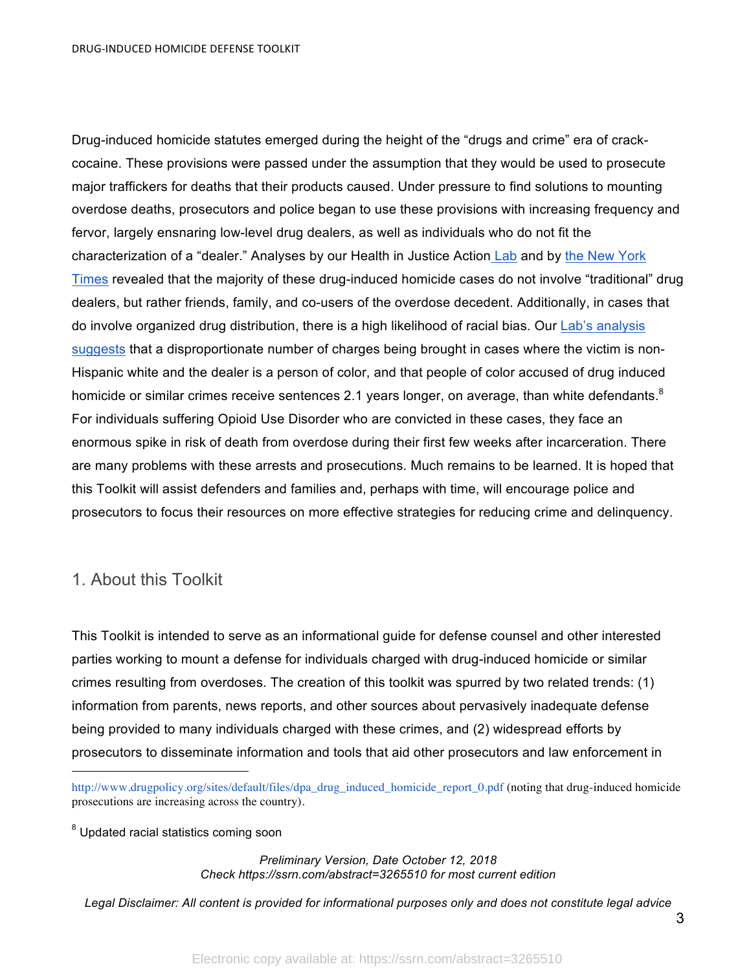Drug-induced homicide statutes emerged during the height of the "drugs and crime" era of crackcocaine. These provisions were passed under the assumption that they would be used to prosecute major traffickers for deaths that their products caused. Under pressure to find solutions to mounting overdose deaths, prosecutors and police began to use these provisions with increasing frequency and fervor, largely ensnaring low-level drug dealers, as well as individuals who do not fit the characterization of a "dealer." Analyses by our Health in Justice Action Lab and by the New York Times revealed that the majority of these drug-induced homicide cases do not involve "traditional" drug dealers, but rather friends, family, and co-users of the overdose decedent. Additionally, in cases that do involve organized drug distribution, there is a high likelihood of racial bias. Our Lab's analysis suggests that a disproportionate number of charges being brought in cases where the victim is non-Hispanic white and the dealer is a person of color, and that people of color accused of drug induced homicide or similar crimes receive sentences 2.1 years longer, on average, than white defendants.<sup>8</sup> For individuals suffering Opioid Use Disorder who are convicted in these cases, they face an enormous spike in risk of death from overdose during their first few weeks after incarceration. There are many problems with these arrests and prosecutions. Much remains to be learned. It is hoped that this Toolkit will assist defenders and families and, perhaps with time, will encourage police and prosecutors to focus their resources on more effective strategies for reducing crime and delinquency.

### 1. About this Toolkit

 $\overline{a}$ 

This Toolkit is intended to serve as an informational guide for defense counsel and other interested parties working to mount a defense for individuals charged with drug-induced homicide or similar crimes resulting from overdoses. The creation of this toolkit was spurred by two related trends: (1) information from parents, news reports, and other sources about pervasively inadequate defense being provided to many individuals charged with these crimes, and (2) widespread efforts by prosecutors to disseminate information and tools that aid other prosecutors and law enforcement in

<sup>8</sup> Updated racial statistics coming soon

*Preliminary Version, Date October 12, 2018 Check https://ssrn.com/abstract=3265510 for most current edition*

http://www.drugpolicy.org/sites/default/files/dpa\_drug\_induced\_homicide\_report\_0.pdf (noting that drug-induced homicide prosecutions are increasing across the country).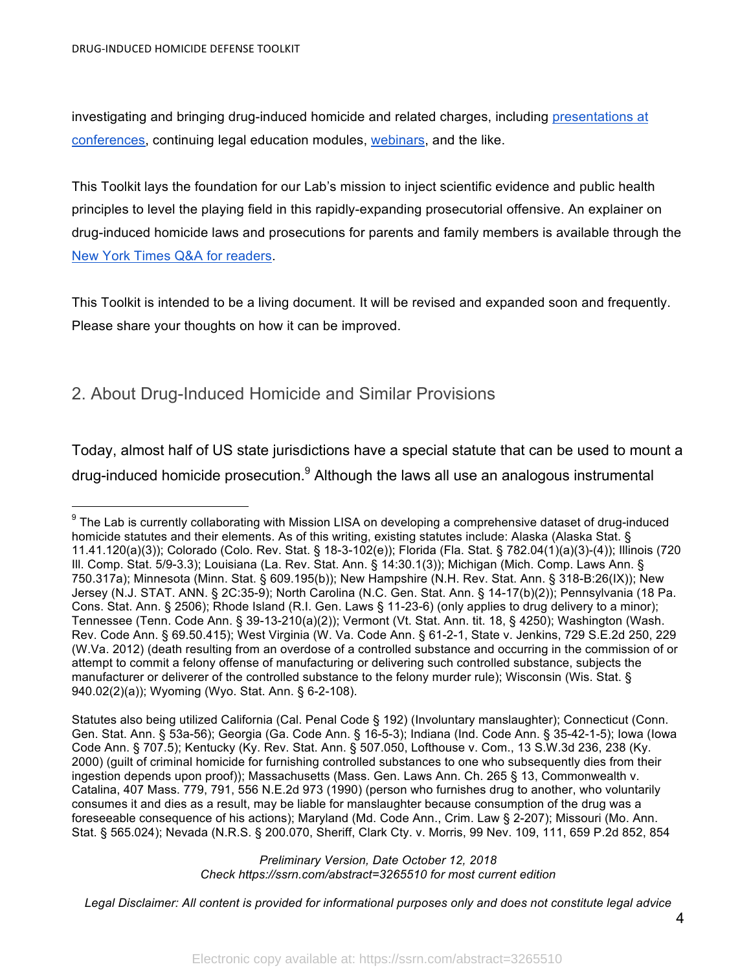investigating and bringing drug-induced homicide and related charges, including presentations at conferences, continuing legal education modules, webinars, and the like.

This Toolkit lays the foundation for our Lab's mission to inject scientific evidence and public health principles to level the playing field in this rapidly-expanding prosecutorial offensive. An explainer on drug-induced homicide laws and prosecutions for parents and family members is available through the New York Times Q&A for readers.

This Toolkit is intended to be a living document. It will be revised and expanded soon and frequently. Please share your thoughts on how it can be improved.

## 2. About Drug-Induced Homicide and Similar Provisions

Today, almost half of US state jurisdictions have a special statute that can be used to mount a drug-induced homicide prosecution.<sup>9</sup> Although the laws all use an analogous instrumental

Statutes also being utilized California (Cal. Penal Code § 192) (Involuntary manslaughter); Connecticut (Conn. Gen. Stat. Ann. § 53a-56); Georgia (Ga. Code Ann. § 16-5-3); Indiana (Ind. Code Ann. § 35-42-1-5); Iowa (Iowa Code Ann. § 707.5); Kentucky (Ky. Rev. Stat. Ann. § 507.050, Lofthouse v. Com., 13 S.W.3d 236, 238 (Ky. 2000) (guilt of criminal homicide for furnishing controlled substances to one who subsequently dies from their ingestion depends upon proof)); Massachusetts (Mass. Gen. Laws Ann. Ch. 265 § 13, Commonwealth v. Catalina, 407 Mass. 779, 791, 556 N.E.2d 973 (1990) (person who furnishes drug to another, who voluntarily consumes it and dies as a result, may be liable for manslaughter because consumption of the drug was a foreseeable consequence of his actions); Maryland (Md. Code Ann., Crim. Law § 2-207); Missouri (Mo. Ann. Stat. § 565.024); Nevada (N.R.S. § 200.070, Sheriff, Clark Cty. v. Morris, 99 Nev. 109, 111, 659 P.2d 852, 854

> *Preliminary Version, Date October 12, 2018 Check https://ssrn.com/abstract=3265510 for most current edition*

 <sup>9</sup>  $9$  The Lab is currently collaborating with Mission LISA on developing a comprehensive dataset of drug-induced homicide statutes and their elements. As of this writing, existing statutes include: Alaska (Alaska Stat. § 11.41.120(a)(3)); Colorado (Colo. Rev. Stat. § 18-3-102(e)); Florida (Fla. Stat. § 782.04(1)(a)(3)-(4)); Illinois (720 Ill. Comp. Stat. 5/9-3.3); Louisiana (La. Rev. Stat. Ann. § 14:30.1(3)); Michigan (Mich. Comp. Laws Ann. § 750.317a); Minnesota (Minn. Stat. § 609.195(b)); New Hampshire (N.H. Rev. Stat. Ann. § 318-B:26(IX)); New Jersey (N.J. STAT. ANN. § 2C:35-9); North Carolina (N.C. Gen. Stat. Ann. § 14-17(b)(2)); Pennsylvania (18 Pa. Cons. Stat. Ann. § 2506); Rhode Island (R.I. Gen. Laws § 11-23-6) (only applies to drug delivery to a minor); Tennessee (Tenn. Code Ann. § 39-13-210(a)(2)); Vermont (Vt. Stat. Ann. tit. 18, § 4250); Washington (Wash. Rev. Code Ann. § 69.50.415); West Virginia (W. Va. Code Ann. § 61-2-1, State v. Jenkins, 729 S.E.2d 250, 229 (W.Va. 2012) (death resulting from an overdose of a controlled substance and occurring in the commission of or attempt to commit a felony offense of manufacturing or delivering such controlled substance, subjects the manufacturer or deliverer of the controlled substance to the felony murder rule); Wisconsin (Wis. Stat. § 940.02(2)(a)); Wyoming (Wyo. Stat. Ann. § 6-2-108).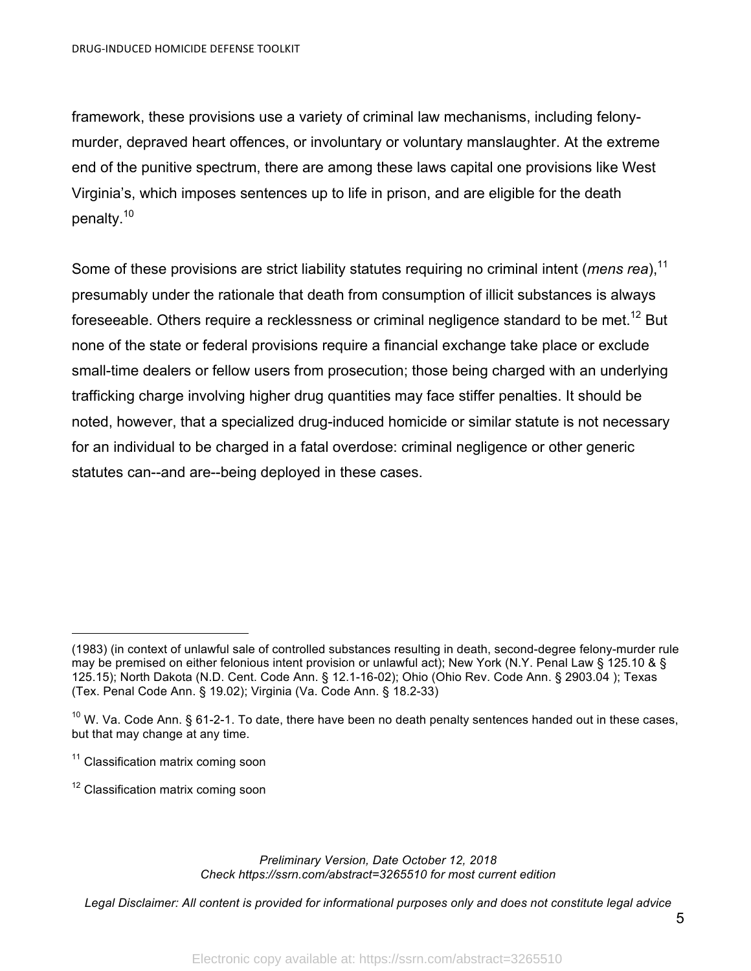framework, these provisions use a variety of criminal law mechanisms, including felonymurder, depraved heart offences, or involuntary or voluntary manslaughter. At the extreme end of the punitive spectrum, there are among these laws capital one provisions like West Virginia's, which imposes sentences up to life in prison, and are eligible for the death penalty.<sup>10</sup>

Some of these provisions are strict liability statutes requiring no criminal intent (*mens rea*), 11 presumably under the rationale that death from consumption of illicit substances is always foreseeable. Others require a recklessness or criminal negligence standard to be met.<sup>12</sup> But none of the state or federal provisions require a financial exchange take place or exclude small-time dealers or fellow users from prosecution; those being charged with an underlying trafficking charge involving higher drug quantities may face stiffer penalties. It should be noted, however, that a specialized drug-induced homicide or similar statute is not necessary for an individual to be charged in a fatal overdose: criminal negligence or other generic statutes can--and are--being deployed in these cases.

*Preliminary Version, Date October 12, 2018 Check https://ssrn.com/abstract=3265510 for most current edition*

<sup>(1983) (</sup>in context of unlawful sale of controlled substances resulting in death, second-degree felony-murder rule may be premised on either felonious intent provision or unlawful act); New York (N.Y. Penal Law § 125.10 & § 125.15); North Dakota (N.D. Cent. Code Ann. § 12.1-16-02); Ohio (Ohio Rev. Code Ann. § 2903.04 ); Texas (Tex. Penal Code Ann. § 19.02); Virginia (Va. Code Ann. § 18.2-33)

 $10$  W. Va. Code Ann. § 61-2-1. To date, there have been no death penalty sentences handed out in these cases, but that may change at any time.

<sup>&</sup>lt;sup>11</sup> Classification matrix coming soon

<sup>&</sup>lt;sup>12</sup> Classification matrix coming soon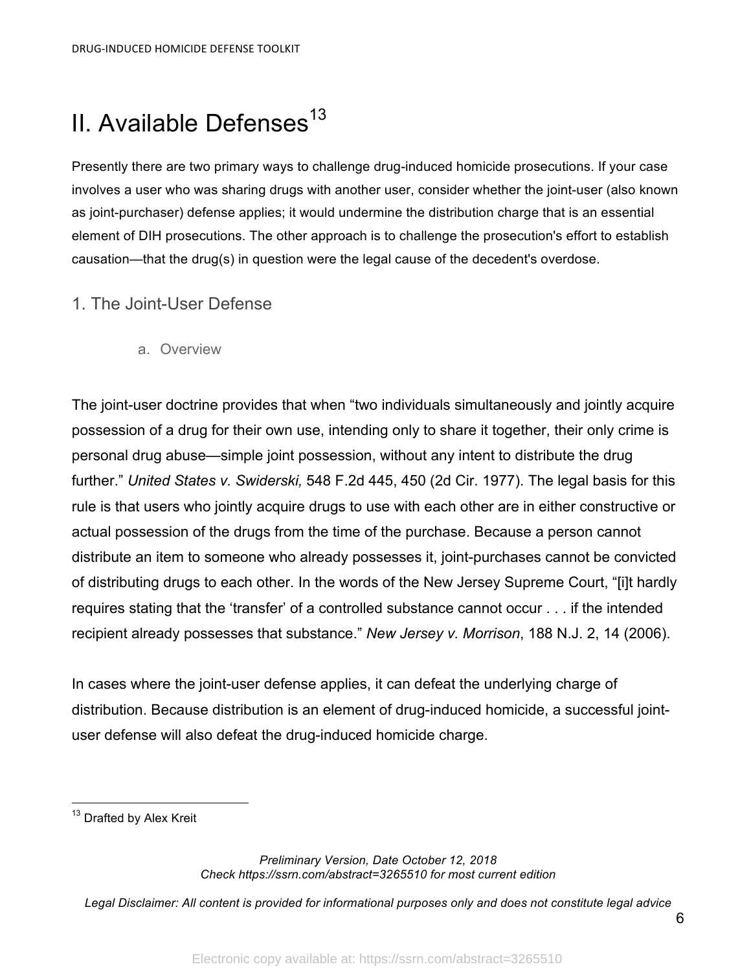# II. Available Defenses $^{13}$

Presently there are two primary ways to challenge drug-induced homicide prosecutions. If your case involves a user who was sharing drugs with another user, consider whether the joint-user (also known as joint-purchaser) defense applies; it would undermine the distribution charge that is an essential element of DIH prosecutions. The other approach is to challenge the prosecution's effort to establish causation—that the drug(s) in question were the legal cause of the decedent's overdose.

### 1. The Joint-User Defense

a. Overview

The joint-user doctrine provides that when "two individuals simultaneously and jointly acquire possession of a drug for their own use, intending only to share it together, their only crime is personal drug abuse—simple joint possession, without any intent to distribute the drug further." *United States v. Swiderski,* 548 F.2d 445, 450 (2d Cir. 1977). The legal basis for this rule is that users who jointly acquire drugs to use with each other are in either constructive or actual possession of the drugs from the time of the purchase. Because a person cannot distribute an item to someone who already possesses it, joint-purchases cannot be convicted of distributing drugs to each other. In the words of the New Jersey Supreme Court, "[i]t hardly requires stating that the 'transfer' of a controlled substance cannot occur . . . if the intended recipient already possesses that substance." *New Jersey v. Morrison*, 188 N.J. 2, 14 (2006).

In cases where the joint-user defense applies, it can defeat the underlying charge of distribution. Because distribution is an element of drug-induced homicide, a successful jointuser defense will also defeat the drug-induced homicide charge.

*Preliminary Version, Date October 12, 2018 Check https://ssrn.com/abstract=3265510 for most current edition*

<sup>&</sup>lt;sup>13</sup> Drafted by Alex Kreit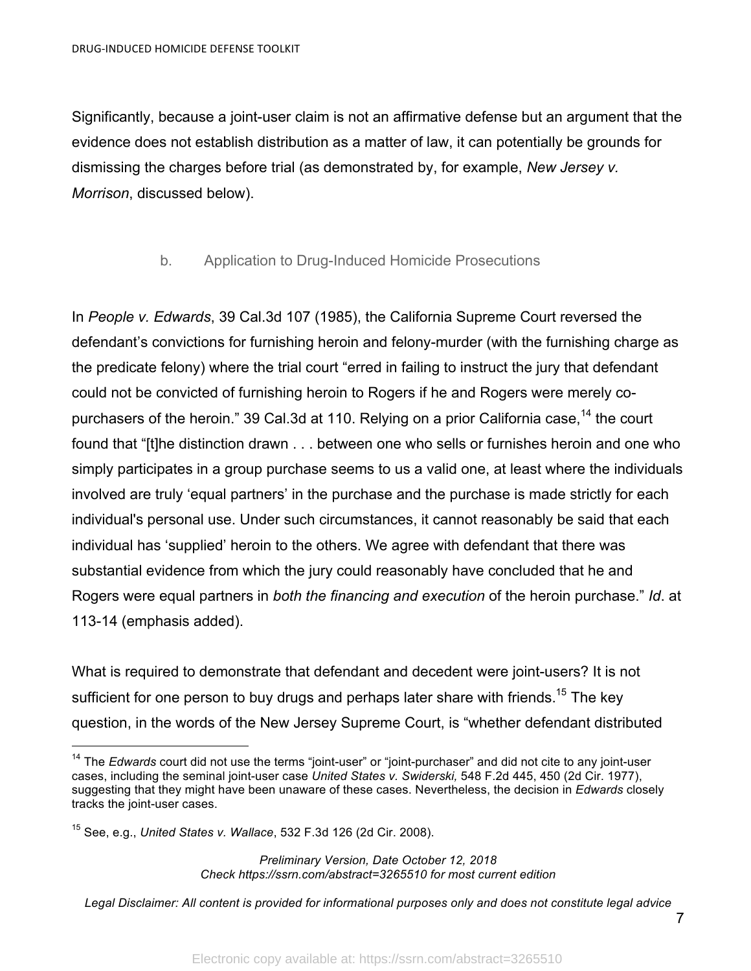Significantly, because a joint-user claim is not an affirmative defense but an argument that the evidence does not establish distribution as a matter of law, it can potentially be grounds for dismissing the charges before trial (as demonstrated by, for example, *New Jersey v. Morrison*, discussed below).

b. Application to Drug-Induced Homicide Prosecutions

In *People v. Edwards*, 39 Cal.3d 107 (1985), the California Supreme Court reversed the defendant's convictions for furnishing heroin and felony-murder (with the furnishing charge as the predicate felony) where the trial court "erred in failing to instruct the jury that defendant could not be convicted of furnishing heroin to Rogers if he and Rogers were merely copurchasers of the heroin." 39 Cal.3d at 110. Relying on a prior California case,<sup>14</sup> the court found that "[t]he distinction drawn . . . between one who sells or furnishes heroin and one who simply participates in a group purchase seems to us a valid one, at least where the individuals involved are truly 'equal partners' in the purchase and the purchase is made strictly for each individual's personal use. Under such circumstances, it cannot reasonably be said that each individual has 'supplied' heroin to the others. We agree with defendant that there was substantial evidence from which the jury could reasonably have concluded that he and Rogers were equal partners in *both the financing and execution* of the heroin purchase." *Id*. at 113-14 (emphasis added).

What is required to demonstrate that defendant and decedent were joint-users? It is not sufficient for one person to buy drugs and perhaps later share with friends.<sup>15</sup> The key question, in the words of the New Jersey Supreme Court, is "whether defendant distributed

*Preliminary Version, Date October 12, 2018 Check https://ssrn.com/abstract=3265510 for most current edition*

<sup>&</sup>lt;sup>14</sup> The *Edwards* court did not use the terms "joint-user" or "joint-purchaser" and did not cite to any joint-user cases, including the seminal joint-user case *United States v. Swiderski,* 548 F.2d 445, 450 (2d Cir. 1977), suggesting that they might have been unaware of these cases. Nevertheless, the decision in *Edwards* closely tracks the joint-user cases.

<sup>15</sup> See, e.g., *United States v. Wallace*, 532 F.3d 126 (2d Cir. 2008).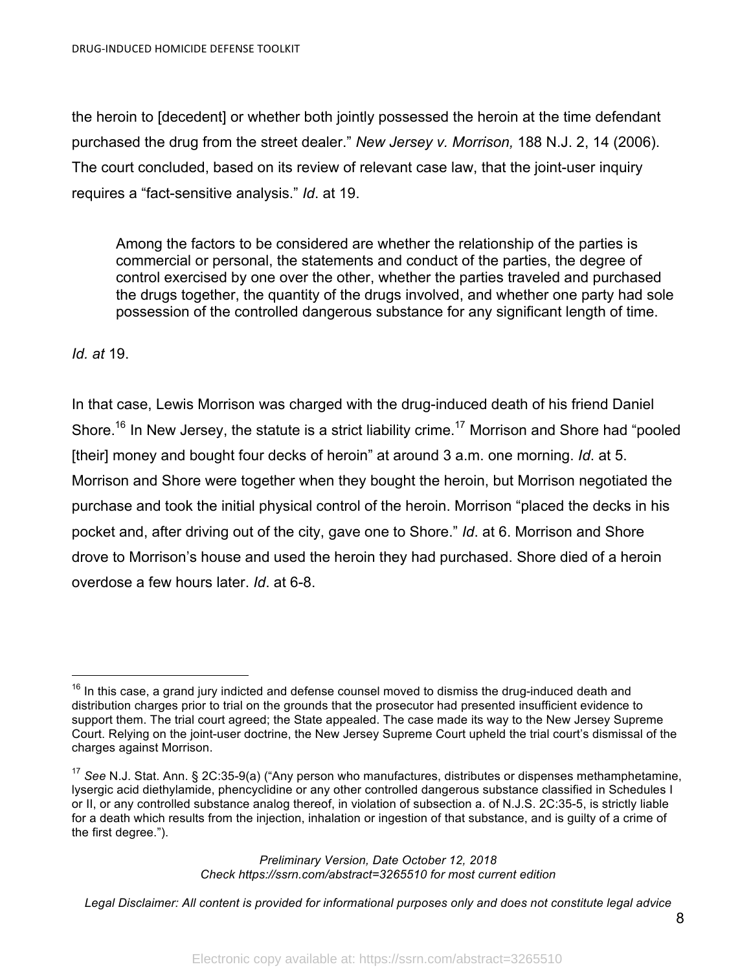the heroin to [decedent] or whether both jointly possessed the heroin at the time defendant purchased the drug from the street dealer." *New Jersey v. Morrison,* 188 N.J. 2, 14 (2006). The court concluded, based on its review of relevant case law, that the joint-user inquiry requires a "fact-sensitive analysis." *Id*. at 19.

Among the factors to be considered are whether the relationship of the parties is commercial or personal, the statements and conduct of the parties, the degree of control exercised by one over the other, whether the parties traveled and purchased the drugs together, the quantity of the drugs involved, and whether one party had sole possession of the controlled dangerous substance for any significant length of time.

*Id. at* 19.

In that case, Lewis Morrison was charged with the drug-induced death of his friend Daniel Shore.<sup>16</sup> In New Jersey, the statute is a strict liability crime.<sup>17</sup> Morrison and Shore had "pooled [their] money and bought four decks of heroin" at around 3 a.m. one morning. *Id*. at 5. Morrison and Shore were together when they bought the heroin, but Morrison negotiated the purchase and took the initial physical control of the heroin. Morrison "placed the decks in his pocket and, after driving out of the city, gave one to Shore." *Id*. at 6. Morrison and Shore drove to Morrison's house and used the heroin they had purchased. Shore died of a heroin overdose a few hours later. *Id*. at 6-8.

*Preliminary Version, Date October 12, 2018 Check https://ssrn.com/abstract=3265510 for most current edition*

 $16$  In this case, a grand jury indicted and defense counsel moved to dismiss the drug-induced death and distribution charges prior to trial on the grounds that the prosecutor had presented insufficient evidence to support them. The trial court agreed; the State appealed. The case made its way to the New Jersey Supreme Court. Relying on the joint-user doctrine, the New Jersey Supreme Court upheld the trial court's dismissal of the charges against Morrison.

<sup>17</sup> *See* N.J. Stat. Ann. § 2C:35-9(a) ("Any person who manufactures, distributes or dispenses methamphetamine, lysergic acid diethylamide, phencyclidine or any other controlled dangerous substance classified in Schedules I or II, or any controlled substance analog thereof, in violation of subsection a. of N.J.S. 2C:35-5, is strictly liable for a death which results from the injection, inhalation or ingestion of that substance, and is guilty of a crime of the first degree.").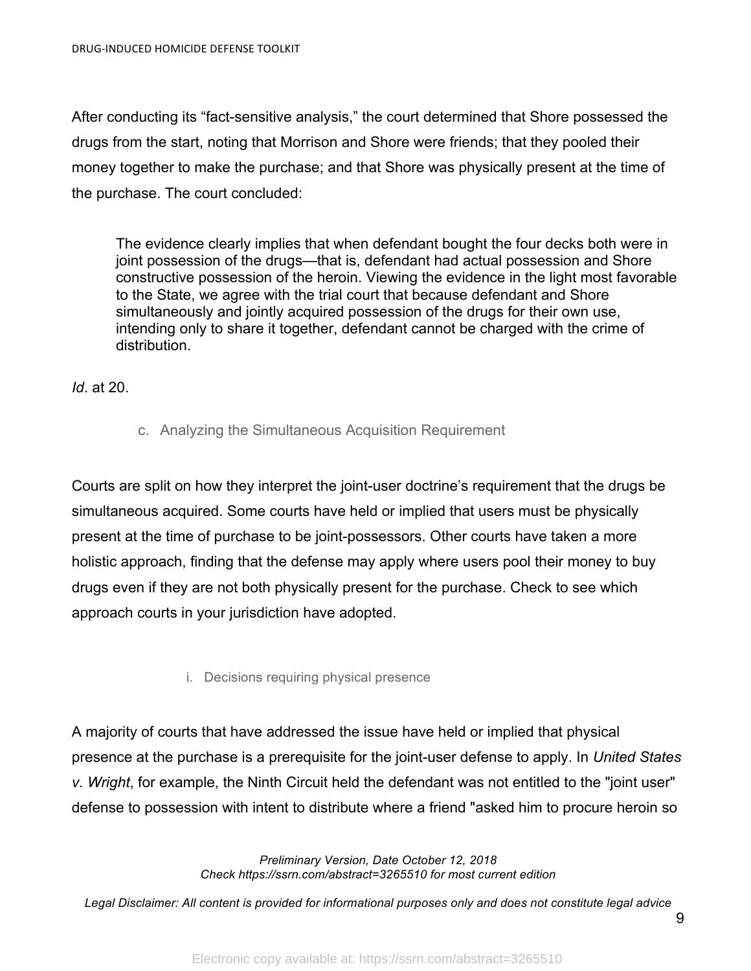After conducting its "fact-sensitive analysis," the court determined that Shore possessed the drugs from the start, noting that Morrison and Shore were friends; that they pooled their money together to make the purchase; and that Shore was physically present at the time of the purchase. The court concluded:

The evidence clearly implies that when defendant bought the four decks both were in joint possession of the drugs—that is, defendant had actual possession and Shore constructive possession of the heroin. Viewing the evidence in the light most favorable to the State, we agree with the trial court that because defendant and Shore simultaneously and jointly acquired possession of the drugs for their own use, intending only to share it together, defendant cannot be charged with the crime of distribution.

*Id*. at 20.

c. Analyzing the Simultaneous Acquisition Requirement

Courts are split on how they interpret the joint-user doctrine's requirement that the drugs be simultaneous acquired. Some courts have held or implied that users must be physically present at the time of purchase to be joint-possessors. Other courts have taken a more holistic approach, finding that the defense may apply where users pool their money to buy drugs even if they are not both physically present for the purchase. Check to see which approach courts in your jurisdiction have adopted.

i. Decisions requiring physical presence

A majority of courts that have addressed the issue have held or implied that physical presence at the purchase is a prerequisite for the joint-user defense to apply. In *United States v. Wright*, for example, the Ninth Circuit held the defendant was not entitled to the "joint user" defense to possession with intent to distribute where a friend "asked him to procure heroin so

> *Preliminary Version, Date October 12, 2018 Check https://ssrn.com/abstract=3265510 for most current edition*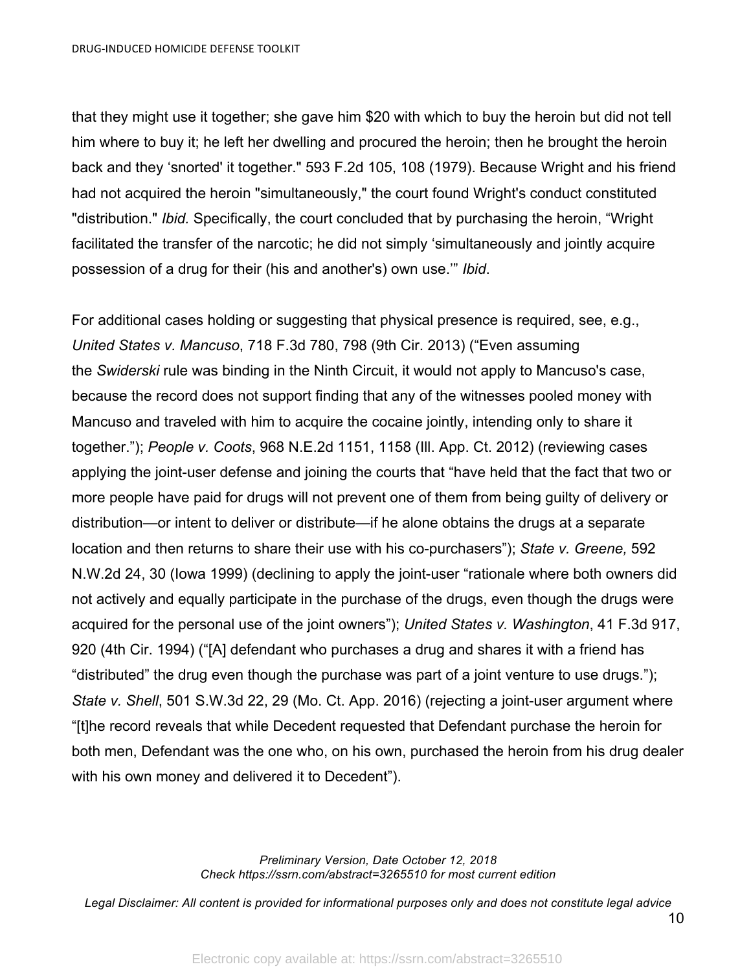that they might use it together; she gave him \$20 with which to buy the heroin but did not tell him where to buy it; he left her dwelling and procured the heroin; then he brought the heroin back and they 'snorted' it together." 593 F.2d 105, 108 (1979). Because Wright and his friend had not acquired the heroin "simultaneously," the court found Wright's conduct constituted "distribution." *Ibid.* Specifically, the court concluded that by purchasing the heroin, "Wright facilitated the transfer of the narcotic; he did not simply 'simultaneously and jointly acquire possession of a drug for their (his and another's) own use.'" *Ibid*.

For additional cases holding or suggesting that physical presence is required, see, e.g., *United States v. Mancuso*, 718 F.3d 780, 798 (9th Cir. 2013) ("Even assuming the *Swiderski* rule was binding in the Ninth Circuit, it would not apply to Mancuso's case, because the record does not support finding that any of the witnesses pooled money with Mancuso and traveled with him to acquire the cocaine jointly, intending only to share it together."); *People v. Coots*, 968 N.E.2d 1151, 1158 (Ill. App. Ct. 2012) (reviewing cases applying the joint-user defense and joining the courts that "have held that the fact that two or more people have paid for drugs will not prevent one of them from being guilty of delivery or distribution—or intent to deliver or distribute—if he alone obtains the drugs at a separate location and then returns to share their use with his co-purchasers"); *State v. Greene,* 592 N.W.2d 24, 30 (Iowa 1999) (declining to apply the joint-user "rationale where both owners did not actively and equally participate in the purchase of the drugs, even though the drugs were acquired for the personal use of the joint owners"); *United States v. Washington*, 41 F.3d 917, 920 (4th Cir. 1994) ("[A] defendant who purchases a drug and shares it with a friend has "distributed" the drug even though the purchase was part of a joint venture to use drugs."); *State v. Shell*, 501 S.W.3d 22, 29 (Mo. Ct. App. 2016) (rejecting a joint-user argument where "[t]he record reveals that while Decedent requested that Defendant purchase the heroin for both men, Defendant was the one who, on his own, purchased the heroin from his drug dealer with his own money and delivered it to Decedent").

> *Preliminary Version, Date October 12, 2018 Check https://ssrn.com/abstract=3265510 for most current edition*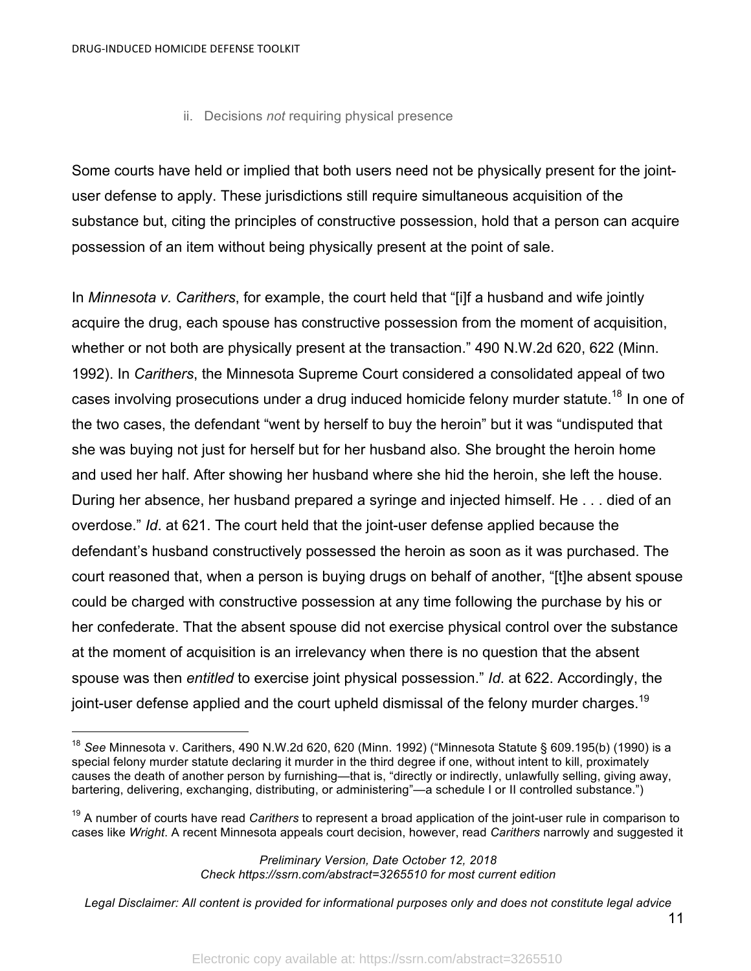ii. Decisions *not* requiring physical presence

Some courts have held or implied that both users need not be physically present for the jointuser defense to apply. These jurisdictions still require simultaneous acquisition of the substance but, citing the principles of constructive possession, hold that a person can acquire possession of an item without being physically present at the point of sale.

In *Minnesota v. Carithers*, for example, the court held that "[i]f a husband and wife jointly acquire the drug, each spouse has constructive possession from the moment of acquisition, whether or not both are physically present at the transaction." 490 N.W.2d 620, 622 (Minn. 1992). In *Carithers*, the Minnesota Supreme Court considered a consolidated appeal of two cases involving prosecutions under a drug induced homicide felony murder statute.<sup>18</sup> In one of the two cases, the defendant "went by herself to buy the heroin" but it was "undisputed that she was buying not just for herself but for her husband also*.* She brought the heroin home and used her half. After showing her husband where she hid the heroin, she left the house. During her absence, her husband prepared a syringe and injected himself. He . . . died of an overdose." *Id*. at 621. The court held that the joint-user defense applied because the defendant's husband constructively possessed the heroin as soon as it was purchased. The court reasoned that, when a person is buying drugs on behalf of another, "[t]he absent spouse could be charged with constructive possession at any time following the purchase by his or her confederate. That the absent spouse did not exercise physical control over the substance at the moment of acquisition is an irrelevancy when there is no question that the absent spouse was then *entitled* to exercise joint physical possession." *Id*. at 622. Accordingly, the joint-user defense applied and the court upheld dismissal of the felony murder charges.<sup>19</sup>

 <sup>18</sup> *See* Minnesota v. Carithers, 490 N.W.2d 620, 620 (Minn. 1992) ("Minnesota Statute § 609.195(b) (1990) is a special felony murder statute declaring it murder in the third degree if one, without intent to kill, proximately causes the death of another person by furnishing—that is, "directly or indirectly, unlawfully selling, giving away, bartering, delivering, exchanging, distributing, or administering"—a schedule I or II controlled substance.")

<sup>19</sup> A number of courts have read *Carithers* to represent a broad application of the joint-user rule in comparison to cases like *Wright*. A recent Minnesota appeals court decision, however, read *Carithers* narrowly and suggested it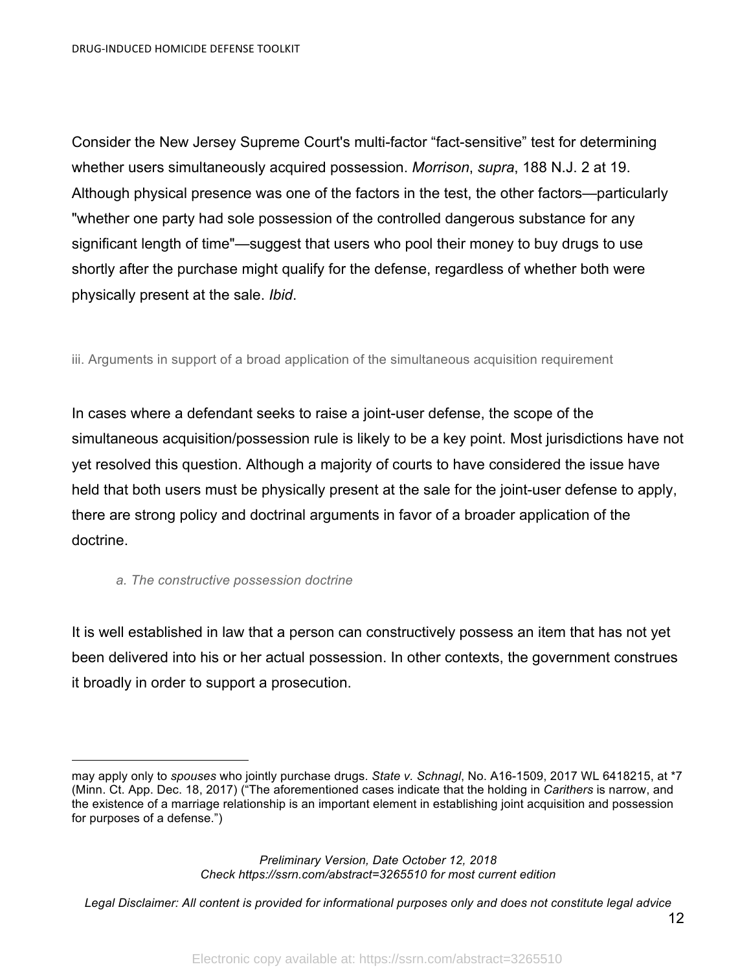Consider the New Jersey Supreme Court's multi-factor "fact-sensitive" test for determining whether users simultaneously acquired possession. *Morrison*, *supra*, 188 N.J. 2 at 19. Although physical presence was one of the factors in the test, the other factors—particularly "whether one party had sole possession of the controlled dangerous substance for any significant length of time"—suggest that users who pool their money to buy drugs to use shortly after the purchase might qualify for the defense, regardless of whether both were physically present at the sale. *Ibid*.

iii. Arguments in support of a broad application of the simultaneous acquisition requirement

In cases where a defendant seeks to raise a joint-user defense, the scope of the simultaneous acquisition/possession rule is likely to be a key point. Most jurisdictions have not yet resolved this question. Although a majority of courts to have considered the issue have held that both users must be physically present at the sale for the joint-user defense to apply, there are strong policy and doctrinal arguments in favor of a broader application of the doctrine.

*a. The constructive possession doctrine*

It is well established in law that a person can constructively possess an item that has not yet been delivered into his or her actual possession. In other contexts, the government construes it broadly in order to support a prosecution.

*Preliminary Version, Date October 12, 2018 Check https://ssrn.com/abstract=3265510 for most current edition*

may apply only to *spouses* who jointly purchase drugs. *State v. Schnagl*, No. A16-1509, 2017 WL 6418215, at \*7 (Minn. Ct. App. Dec. 18, 2017) ("The aforementioned cases indicate that the holding in *Carithers* is narrow, and the existence of a marriage relationship is an important element in establishing joint acquisition and possession for purposes of a defense.")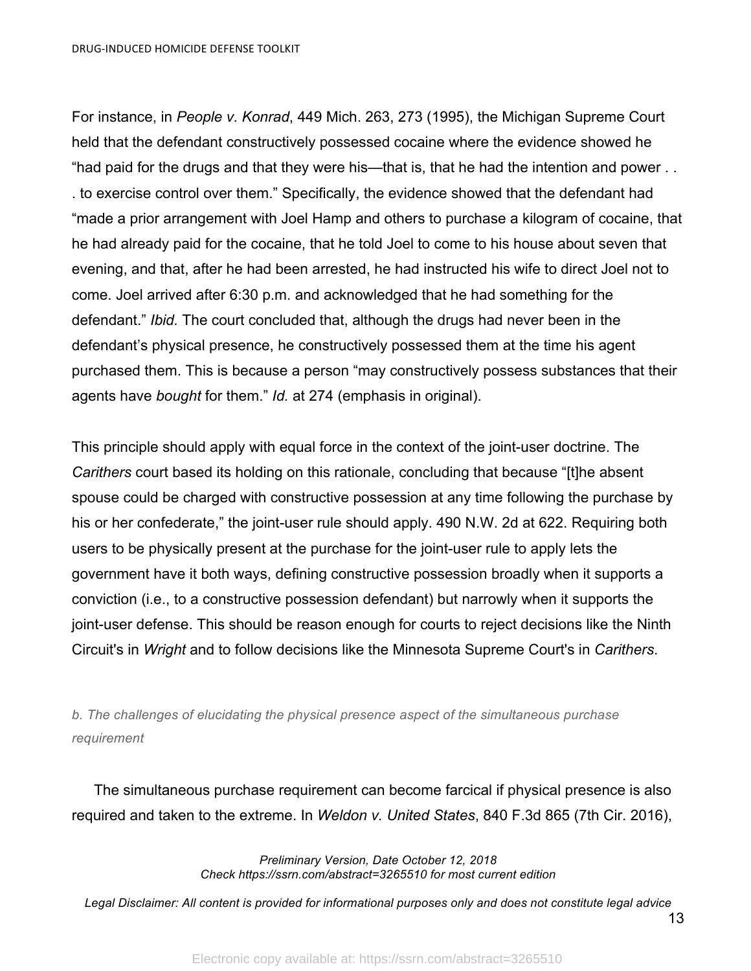For instance, in *People v. Konrad*, 449 Mich. 263, 273 (1995), the Michigan Supreme Court held that the defendant constructively possessed cocaine where the evidence showed he "had paid for the drugs and that they were his—that is, that he had the intention and power . . . to exercise control over them." Specifically, the evidence showed that the defendant had "made a prior arrangement with Joel Hamp and others to purchase a kilogram of cocaine, that he had already paid for the cocaine, that he told Joel to come to his house about seven that evening, and that, after he had been arrested, he had instructed his wife to direct Joel not to come. Joel arrived after 6:30 p.m. and acknowledged that he had something for the defendant." *Ibid.* The court concluded that, although the drugs had never been in the defendant's physical presence, he constructively possessed them at the time his agent purchased them. This is because a person "may constructively possess substances that their agents have *bought* for them." *Id.* at 274 (emphasis in original).

This principle should apply with equal force in the context of the joint-user doctrine. The *Carithers* court based its holding on this rationale, concluding that because "[t]he absent spouse could be charged with constructive possession at any time following the purchase by his or her confederate," the joint-user rule should apply. 490 N.W. 2d at 622. Requiring both users to be physically present at the purchase for the joint-user rule to apply lets the government have it both ways, defining constructive possession broadly when it supports a conviction (i.e., to a constructive possession defendant) but narrowly when it supports the joint-user defense. This should be reason enough for courts to reject decisions like the Ninth Circuit's in *Wright* and to follow decisions like the Minnesota Supreme Court's in *Carithers*.

*b. The challenges of elucidating the physical presence aspect of the simultaneous purchase requirement*

The simultaneous purchase requirement can become farcical if physical presence is also required and taken to the extreme. In *Weldon v. United States*, 840 F.3d 865 (7th Cir. 2016),

> *Preliminary Version, Date October 12, 2018 Check https://ssrn.com/abstract=3265510 for most current edition*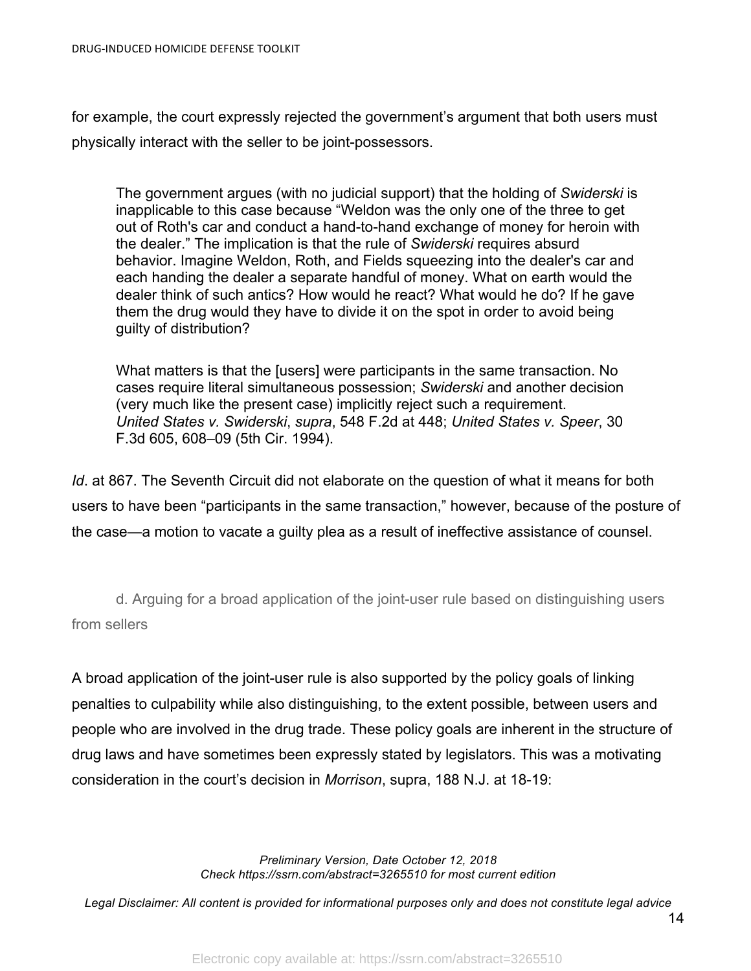for example, the court expressly rejected the government's argument that both users must physically interact with the seller to be joint-possessors.

The government argues (with no judicial support) that the holding of *Swiderski* is inapplicable to this case because "Weldon was the only one of the three to get out of Roth's car and conduct a hand-to-hand exchange of money for heroin with the dealer." The implication is that the rule of *Swiderski* requires absurd behavior. Imagine Weldon, Roth, and Fields squeezing into the dealer's car and each handing the dealer a separate handful of money. What on earth would the dealer think of such antics? How would he react? What would he do? If he gave them the drug would they have to divide it on the spot in order to avoid being guilty of distribution?

What matters is that the [users] were participants in the same transaction. No cases require literal simultaneous possession; *Swiderski* and another decision (very much like the present case) implicitly reject such a requirement. *United States v. Swiderski*, *supra*, 548 F.2d at 448; *United States v. Speer*, 30 F.3d 605, 608–09 (5th Cir. 1994).

*Id*. at 867. The Seventh Circuit did not elaborate on the question of what it means for both users to have been "participants in the same transaction," however, because of the posture of the case—a motion to vacate a guilty plea as a result of ineffective assistance of counsel.

d. Arguing for a broad application of the joint-user rule based on distinguishing users from sellers

A broad application of the joint-user rule is also supported by the policy goals of linking penalties to culpability while also distinguishing, to the extent possible, between users and people who are involved in the drug trade. These policy goals are inherent in the structure of drug laws and have sometimes been expressly stated by legislators. This was a motivating consideration in the court's decision in *Morrison*, supra, 188 N.J. at 18-19:

> *Preliminary Version, Date October 12, 2018 Check https://ssrn.com/abstract=3265510 for most current edition*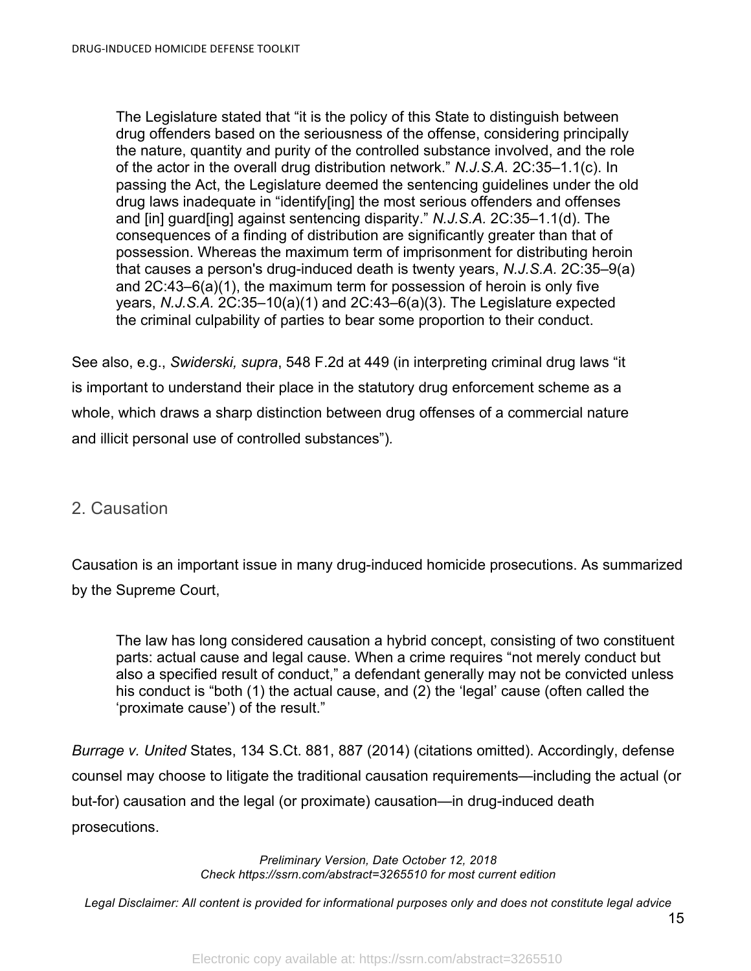The Legislature stated that "it is the policy of this State to distinguish between drug offenders based on the seriousness of the offense, considering principally the nature, quantity and purity of the controlled substance involved, and the role of the actor in the overall drug distribution network." *N.J.S.A.* 2C:35–1.1(c). In passing the Act, the Legislature deemed the sentencing guidelines under the old drug laws inadequate in "identify[ing] the most serious offenders and offenses and [in] guard[ing] against sentencing disparity." *N.J.S.A.* 2C:35–1.1(d). The consequences of a finding of distribution are significantly greater than that of possession. Whereas the maximum term of imprisonment for distributing heroin that causes a person's drug-induced death is twenty years, *N.J.S.A.* 2C:35–9(a) and 2C:43–6(a)(1), the maximum term for possession of heroin is only five years, *N.J.S.A.* 2C:35–10(a)(1) and 2C:43–6(a)(3). The Legislature expected the criminal culpability of parties to bear some proportion to their conduct.

See also, e.g., *Swiderski, supra*, 548 F.2d at 449 (in interpreting criminal drug laws "it is important to understand their place in the statutory drug enforcement scheme as a whole, which draws a sharp distinction between drug offenses of a commercial nature and illicit personal use of controlled substances")*.*

## 2. Causation

Causation is an important issue in many drug-induced homicide prosecutions. As summarized by the Supreme Court,

The law has long considered causation a hybrid concept, consisting of two constituent parts: actual cause and legal cause. When a crime requires "not merely conduct but also a specified result of conduct," a defendant generally may not be convicted unless his conduct is "both (1) the actual cause, and (2) the 'legal' cause (often called the 'proximate cause') of the result."

*Burrage v. United* States, 134 S.Ct. 881, 887 (2014) (citations omitted). Accordingly, defense counsel may choose to litigate the traditional causation requirements—including the actual (or but-for) causation and the legal (or proximate) causation—in drug-induced death prosecutions.

> *Preliminary Version, Date October 12, 2018 Check https://ssrn.com/abstract=3265510 for most current edition*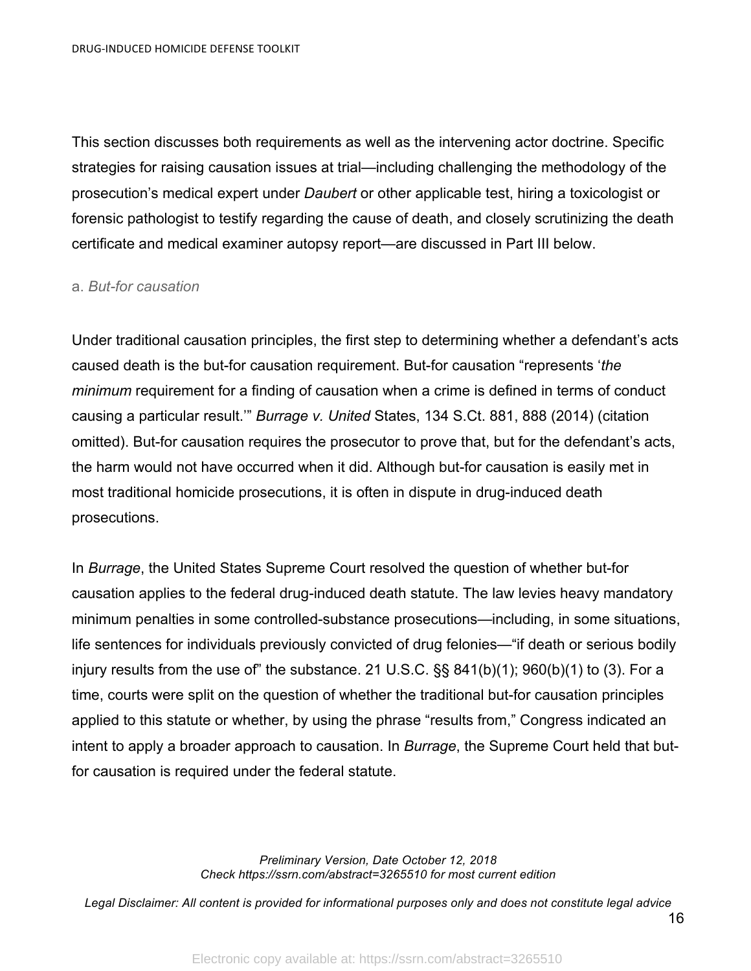This section discusses both requirements as well as the intervening actor doctrine. Specific strategies for raising causation issues at trial—including challenging the methodology of the prosecution's medical expert under *Daubert* or other applicable test, hiring a toxicologist or forensic pathologist to testify regarding the cause of death, and closely scrutinizing the death certificate and medical examiner autopsy report—are discussed in Part III below.

#### a. *But-for causation*

Under traditional causation principles, the first step to determining whether a defendant's acts caused death is the but-for causation requirement. But-for causation "represents '*the minimum* requirement for a finding of causation when a crime is defined in terms of conduct causing a particular result.'" *Burrage v. United* States, 134 S.Ct. 881, 888 (2014) (citation omitted). But-for causation requires the prosecutor to prove that, but for the defendant's acts, the harm would not have occurred when it did. Although but-for causation is easily met in most traditional homicide prosecutions, it is often in dispute in drug-induced death prosecutions.

In *Burrage*, the United States Supreme Court resolved the question of whether but-for causation applies to the federal drug-induced death statute. The law levies heavy mandatory minimum penalties in some controlled-substance prosecutions—including, in some situations, life sentences for individuals previously convicted of drug felonies—"if death or serious bodily injury results from the use of" the substance. 21 U.S.C. §§ 841(b)(1); 960(b)(1) to (3). For a time, courts were split on the question of whether the traditional but-for causation principles applied to this statute or whether, by using the phrase "results from," Congress indicated an intent to apply a broader approach to causation. In *Burrage*, the Supreme Court held that butfor causation is required under the federal statute.

> *Preliminary Version, Date October 12, 2018 Check https://ssrn.com/abstract=3265510 for most current edition*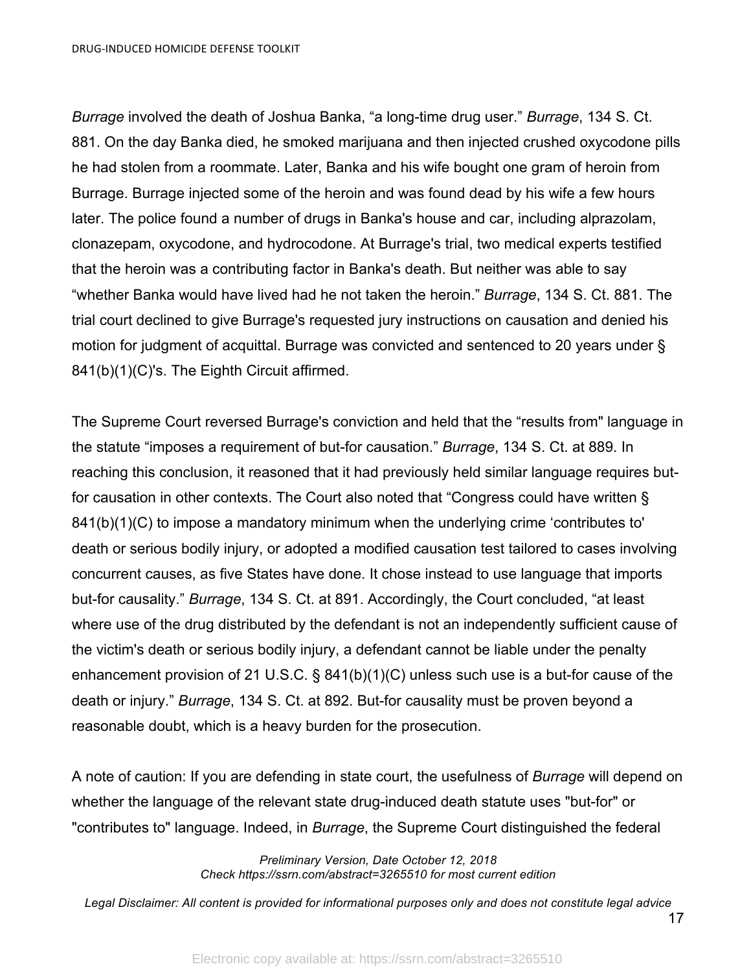*Burrage* involved the death of Joshua Banka, "a long-time drug user." *Burrage*, 134 S. Ct. 881. On the day Banka died, he smoked marijuana and then injected crushed oxycodone pills he had stolen from a roommate. Later, Banka and his wife bought one gram of heroin from Burrage. Burrage injected some of the heroin and was found dead by his wife a few hours later. The police found a number of drugs in Banka's house and car, including alprazolam, clonazepam, oxycodone, and hydrocodone. At Burrage's trial, two medical experts testified that the heroin was a contributing factor in Banka's death. But neither was able to say "whether Banka would have lived had he not taken the heroin." *Burrage*, 134 S. Ct. 881. The trial court declined to give Burrage's requested jury instructions on causation and denied his motion for judgment of acquittal. Burrage was convicted and sentenced to 20 years under § 841(b)(1)(C)'s. The Eighth Circuit affirmed.

The Supreme Court reversed Burrage's conviction and held that the "results from" language in the statute "imposes a requirement of but-for causation." *Burrage*, 134 S. Ct. at 889. In reaching this conclusion, it reasoned that it had previously held similar language requires butfor causation in other contexts. The Court also noted that "Congress could have written § 841(b)(1)(C) to impose a mandatory minimum when the underlying crime 'contributes to' death or serious bodily injury, or adopted a modified causation test tailored to cases involving concurrent causes, as five States have done. It chose instead to use language that imports but-for causality." *Burrage*, 134 S. Ct. at 891. Accordingly, the Court concluded, "at least where use of the drug distributed by the defendant is not an independently sufficient cause of the victim's death or serious bodily injury, a defendant cannot be liable under the penalty enhancement provision of 21 U.S.C. § 841(b)(1)(C) unless such use is a but-for cause of the death or injury." *Burrage*, 134 S. Ct. at 892. But-for causality must be proven beyond a reasonable doubt, which is a heavy burden for the prosecution.

A note of caution: If you are defending in state court, the usefulness of *Burrage* will depend on whether the language of the relevant state drug-induced death statute uses "but-for" or "contributes to" language. Indeed, in *Burrage*, the Supreme Court distinguished the federal

> *Preliminary Version, Date October 12, 2018 Check https://ssrn.com/abstract=3265510 for most current edition*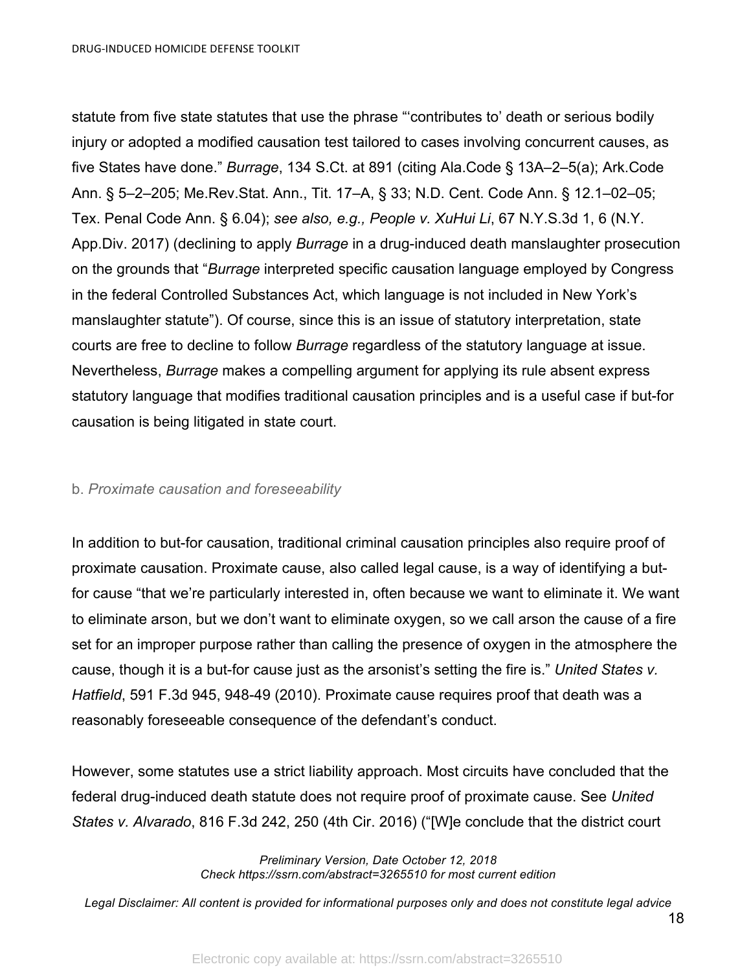statute from five state statutes that use the phrase "'contributes to' death or serious bodily injury or adopted a modified causation test tailored to cases involving concurrent causes, as five States have done." *Burrage*, 134 S.Ct. at 891 (citing Ala.Code § 13A–2–5(a); Ark.Code Ann. § 5–2–205; Me.Rev.Stat. Ann., Tit. 17–A, § 33; N.D. Cent. Code Ann. § 12.1–02–05; Tex. Penal Code Ann. § 6.04); *see also, e.g., People v. XuHui Li*, 67 N.Y.S.3d 1, 6 (N.Y. App.Div. 2017) (declining to apply *Burrage* in a drug-induced death manslaughter prosecution on the grounds that "*Burrage* interpreted specific causation language employed by Congress in the federal Controlled Substances Act, which language is not included in New York's manslaughter statute"). Of course, since this is an issue of statutory interpretation, state courts are free to decline to follow *Burrage* regardless of the statutory language at issue. Nevertheless, *Burrage* makes a compelling argument for applying its rule absent express statutory language that modifies traditional causation principles and is a useful case if but-for causation is being litigated in state court.

### b. *Proximate causation and foreseeability*

In addition to but-for causation, traditional criminal causation principles also require proof of proximate causation. Proximate cause, also called legal cause, is a way of identifying a butfor cause "that we're particularly interested in, often because we want to eliminate it. We want to eliminate arson, but we don't want to eliminate oxygen, so we call arson the cause of a fire set for an improper purpose rather than calling the presence of oxygen in the atmosphere the cause, though it is a but-for cause just as the arsonist's setting the fire is." *United States v. Hatfield*, 591 F.3d 945, 948-49 (2010). Proximate cause requires proof that death was a reasonably foreseeable consequence of the defendant's conduct.

However, some statutes use a strict liability approach. Most circuits have concluded that the federal drug-induced death statute does not require proof of proximate cause. See *United States v. Alvarado*, 816 F.3d 242, 250 (4th Cir. 2016) ("[W]e conclude that the district court

> *Preliminary Version, Date October 12, 2018 Check https://ssrn.com/abstract=3265510 for most current edition*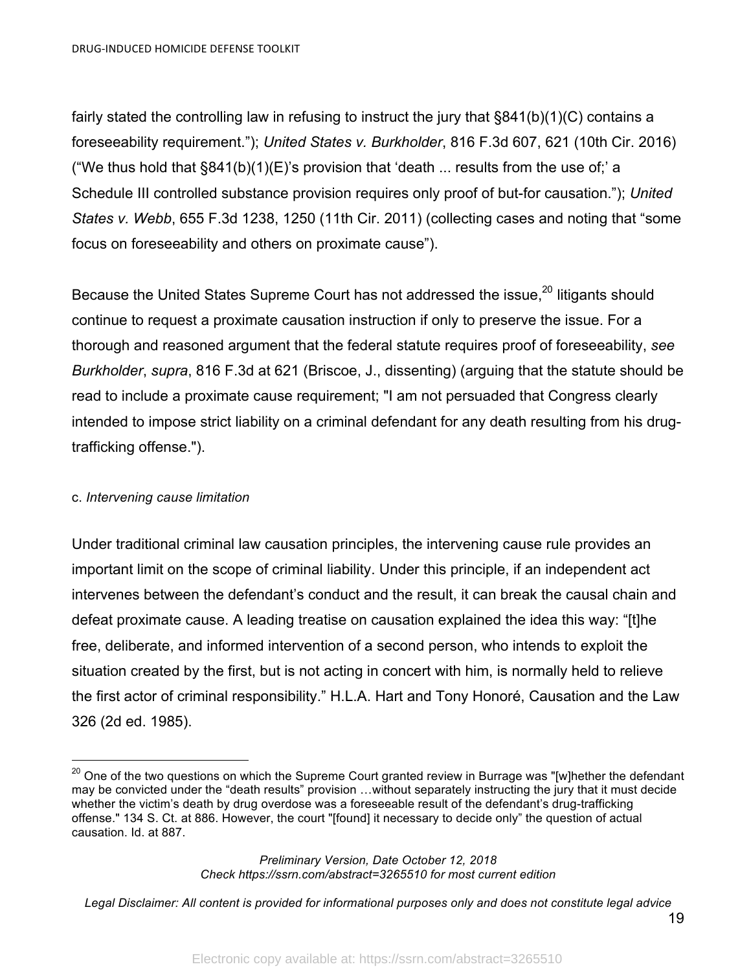fairly stated the controlling law in refusing to instruct the jury that §841(b)(1)(C) contains a foreseeability requirement."); *United States v. Burkholder*, 816 F.3d 607, 621 (10th Cir. 2016) ("We thus hold that  $\S 841(b)(1)(E)$ 's provision that 'death ... results from the use of;' a Schedule III controlled substance provision requires only proof of but-for causation."); *United States v. Webb*, 655 F.3d 1238, 1250 (11th Cir. 2011) (collecting cases and noting that "some focus on foreseeability and others on proximate cause").

Because the United States Supreme Court has not addressed the issue,<sup>20</sup> litigants should continue to request a proximate causation instruction if only to preserve the issue. For a thorough and reasoned argument that the federal statute requires proof of foreseeability, *see Burkholder*, *supra*, 816 F.3d at 621 (Briscoe, J., dissenting) (arguing that the statute should be read to include a proximate cause requirement; "I am not persuaded that Congress clearly intended to impose strict liability on a criminal defendant for any death resulting from his drugtrafficking offense.").

#### c. *Intervening cause limitation*

Under traditional criminal law causation principles, the intervening cause rule provides an important limit on the scope of criminal liability. Under this principle, if an independent act intervenes between the defendant's conduct and the result, it can break the causal chain and defeat proximate cause. A leading treatise on causation explained the idea this way: "[t]he free, deliberate, and informed intervention of a second person, who intends to exploit the situation created by the first, but is not acting in concert with him, is normally held to relieve the first actor of criminal responsibility." H.L.A. Hart and Tony Honoré, Causation and the Law 326 (2d ed. 1985).

*Preliminary Version, Date October 12, 2018 Check https://ssrn.com/abstract=3265510 for most current edition*

 $20$  One of the two questions on which the Supreme Court granted review in Burrage was "[w]hether the defendant may be convicted under the "death results" provision …without separately instructing the jury that it must decide whether the victim's death by drug overdose was a foreseeable result of the defendant's drug-trafficking offense." 134 S. Ct. at 886. However, the court "[found] it necessary to decide only" the question of actual causation. Id. at 887.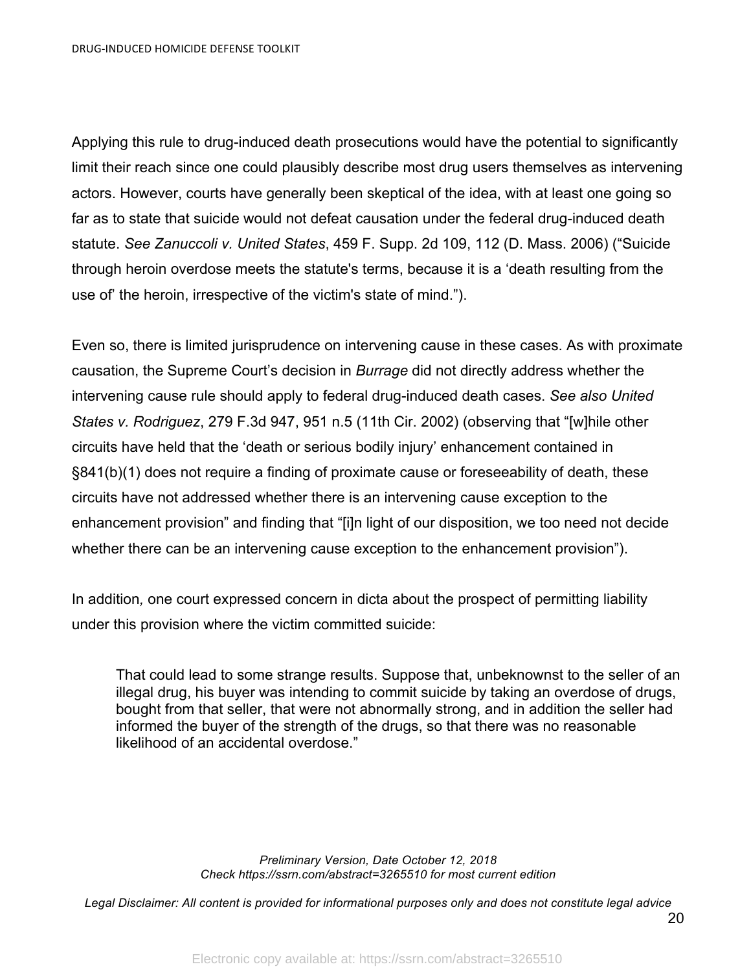Applying this rule to drug-induced death prosecutions would have the potential to significantly limit their reach since one could plausibly describe most drug users themselves as intervening actors. However, courts have generally been skeptical of the idea, with at least one going so far as to state that suicide would not defeat causation under the federal drug-induced death statute. *See Zanuccoli v. United States*, 459 F. Supp. 2d 109, 112 (D. Mass. 2006) ("Suicide through heroin overdose meets the statute's terms, because it is a 'death resulting from the use of' the heroin, irrespective of the victim's state of mind.").

Even so, there is limited jurisprudence on intervening cause in these cases. As with proximate causation, the Supreme Court's decision in *Burrage* did not directly address whether the intervening cause rule should apply to federal drug-induced death cases. *See also United States v. Rodriguez*, 279 F.3d 947, 951 n.5 (11th Cir. 2002) (observing that "[w]hile other circuits have held that the 'death or serious bodily injury' enhancement contained in §841(b)(1) does not require a finding of proximate cause or foreseeability of death, these circuits have not addressed whether there is an intervening cause exception to the enhancement provision" and finding that "[i]n light of our disposition, we too need not decide whether there can be an intervening cause exception to the enhancement provision").

In addition*,* one court expressed concern in dicta about the prospect of permitting liability under this provision where the victim committed suicide:

That could lead to some strange results. Suppose that, unbeknownst to the seller of an illegal drug, his buyer was intending to commit suicide by taking an overdose of drugs, bought from that seller, that were not abnormally strong, and in addition the seller had informed the buyer of the strength of the drugs, so that there was no reasonable likelihood of an accidental overdose."

> *Preliminary Version, Date October 12, 2018 Check https://ssrn.com/abstract=3265510 for most current edition*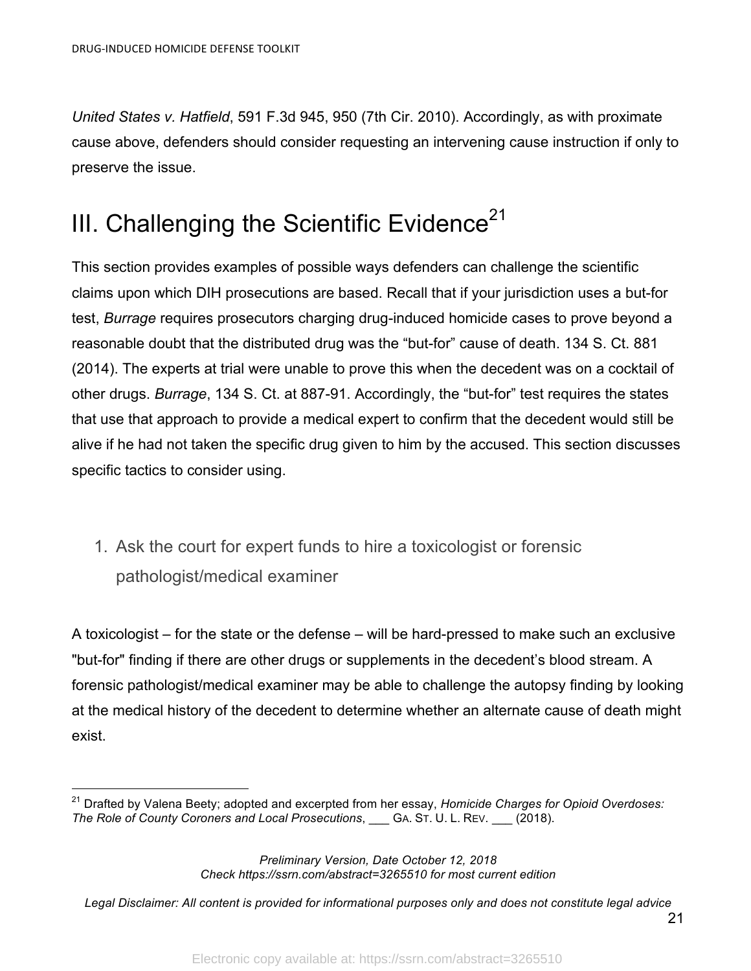*United States v. Hatfield*, 591 F.3d 945, 950 (7th Cir. 2010). Accordingly, as with proximate cause above, defenders should consider requesting an intervening cause instruction if only to preserve the issue.

# III. Challenging the Scientific Evidence<sup>21</sup>

This section provides examples of possible ways defenders can challenge the scientific claims upon which DIH prosecutions are based. Recall that if your jurisdiction uses a but-for test, *Burrage* requires prosecutors charging drug-induced homicide cases to prove beyond a reasonable doubt that the distributed drug was the "but-for" cause of death. 134 S. Ct. 881 (2014). The experts at trial were unable to prove this when the decedent was on a cocktail of other drugs. *Burrage*, 134 S. Ct. at 887-91. Accordingly, the "but-for" test requires the states that use that approach to provide a medical expert to confirm that the decedent would still be alive if he had not taken the specific drug given to him by the accused. This section discusses specific tactics to consider using.

1. Ask the court for expert funds to hire a toxicologist or forensic pathologist/medical examiner

A toxicologist – for the state or the defense – will be hard-pressed to make such an exclusive "but-for" finding if there are other drugs or supplements in the decedent's blood stream. A forensic pathologist/medical examiner may be able to challenge the autopsy finding by looking at the medical history of the decedent to determine whether an alternate cause of death might exist.

*Preliminary Version, Date October 12, 2018 Check https://ssrn.com/abstract=3265510 for most current edition*

 <sup>21</sup> Drafted by Valena Beety; adopted and excerpted from her essay, *Homicide Charges for Opioid Overdoses: The Role of County Coroners and Local Prosecutions*, \_\_\_ GA. ST. U. L. REV. \_\_\_ (2018).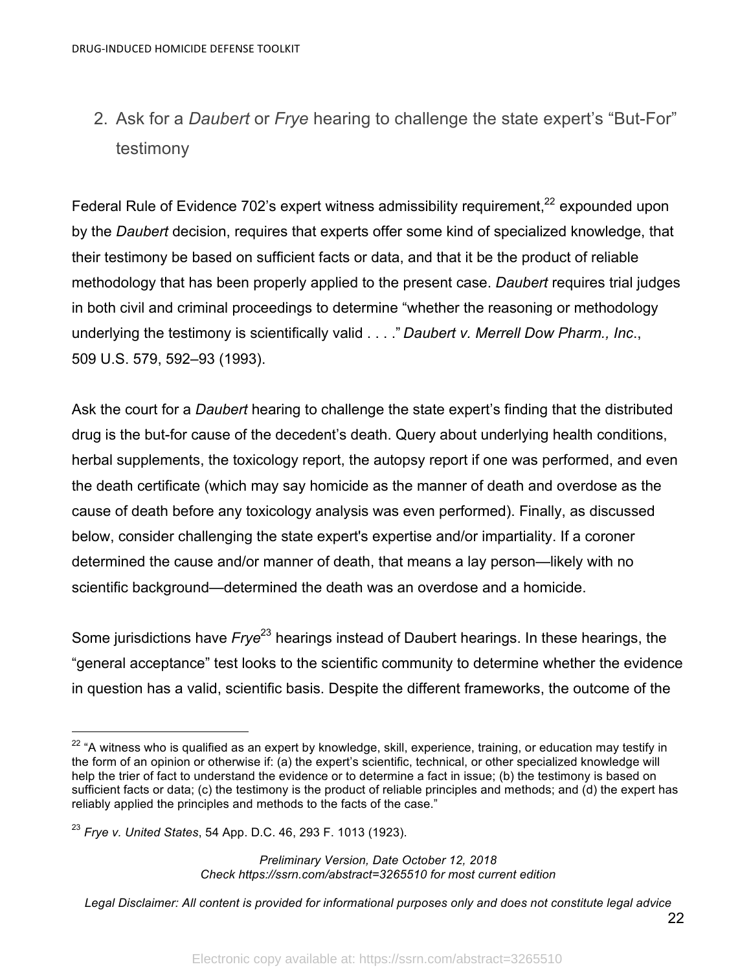## 2. Ask for a *Daubert* or *Frye* hearing to challenge the state expert's "But-For" testimony

Federal Rule of Evidence 702's expert witness admissibility requirement,<sup>22</sup> expounded upon by the *Daubert* decision, requires that experts offer some kind of specialized knowledge, that their testimony be based on sufficient facts or data, and that it be the product of reliable methodology that has been properly applied to the present case. *Daubert* requires trial judges in both civil and criminal proceedings to determine "whether the reasoning or methodology underlying the testimony is scientifically valid . . . ." *Daubert v. Merrell Dow Pharm., Inc*., 509 U.S. 579, 592–93 (1993).

Ask the court for a *Daubert* hearing to challenge the state expert's finding that the distributed drug is the but-for cause of the decedent's death. Query about underlying health conditions, herbal supplements, the toxicology report, the autopsy report if one was performed, and even the death certificate (which may say homicide as the manner of death and overdose as the cause of death before any toxicology analysis was even performed). Finally, as discussed below, consider challenging the state expert's expertise and/or impartiality. If a coroner determined the cause and/or manner of death, that means a lay person—likely with no scientific background—determined the death was an overdose and a homicide.

Some jurisdictions have *Frye*<sup>23</sup> hearings instead of Daubert hearings. In these hearings, the "general acceptance" test looks to the scientific community to determine whether the evidence in question has a valid, scientific basis. Despite the different frameworks, the outcome of the

*Preliminary Version, Date October 12, 2018 Check https://ssrn.com/abstract=3265510 for most current edition*

<sup>&</sup>lt;sup>22</sup> "A witness who is qualified as an expert by knowledge, skill, experience, training, or education may testify in the form of an opinion or otherwise if: (a) the expert's scientific, technical, or other specialized knowledge will help the trier of fact to understand the evidence or to determine a fact in issue; (b) the testimony is based on sufficient facts or data; (c) the testimony is the product of reliable principles and methods; and (d) the expert has reliably applied the principles and methods to the facts of the case."

<sup>23</sup> *Frye v. United States*, 54 App. D.C. 46, 293 F. 1013 (1923).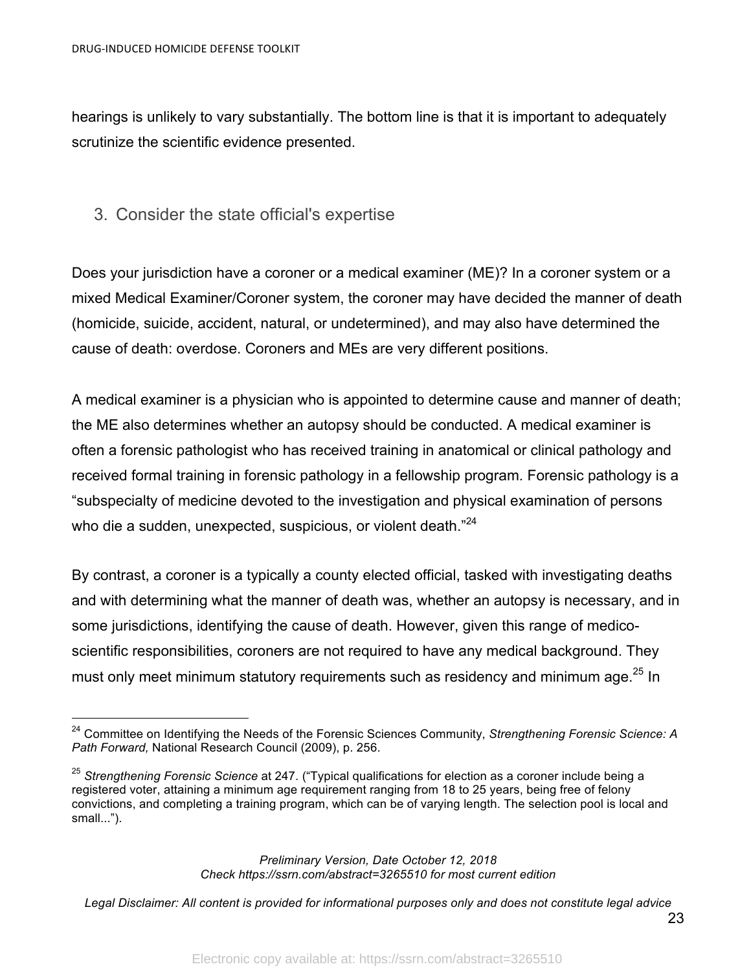hearings is unlikely to vary substantially. The bottom line is that it is important to adequately scrutinize the scientific evidence presented.

## 3. Consider the state official's expertise

Does your jurisdiction have a coroner or a medical examiner (ME)? In a coroner system or a mixed Medical Examiner/Coroner system, the coroner may have decided the manner of death (homicide, suicide, accident, natural, or undetermined), and may also have determined the cause of death: overdose. Coroners and MEs are very different positions.

A medical examiner is a physician who is appointed to determine cause and manner of death; the ME also determines whether an autopsy should be conducted. A medical examiner is often a forensic pathologist who has received training in anatomical or clinical pathology and received formal training in forensic pathology in a fellowship program. Forensic pathology is a "subspecialty of medicine devoted to the investigation and physical examination of persons who die a sudden, unexpected, suspicious, or violent death."<sup>24</sup>

By contrast, a coroner is a typically a county elected official, tasked with investigating deaths and with determining what the manner of death was, whether an autopsy is necessary, and in some jurisdictions, identifying the cause of death. However, given this range of medicoscientific responsibilities, coroners are not required to have any medical background. They must only meet minimum statutory requirements such as residency and minimum age.<sup>25</sup> In

*Preliminary Version, Date October 12, 2018 Check https://ssrn.com/abstract=3265510 for most current edition*

 <sup>24</sup> Committee on Identifying the Needs of the Forensic Sciences Community, *Strengthening Forensic Science: A Path Forward,* National Research Council (2009), p. 256.

<sup>25</sup> *Strengthening Forensic Science* at 247. ("Typical qualifications for election as a coroner include being a registered voter, attaining a minimum age requirement ranging from 18 to 25 years, being free of felony convictions, and completing a training program, which can be of varying length. The selection pool is local and small...").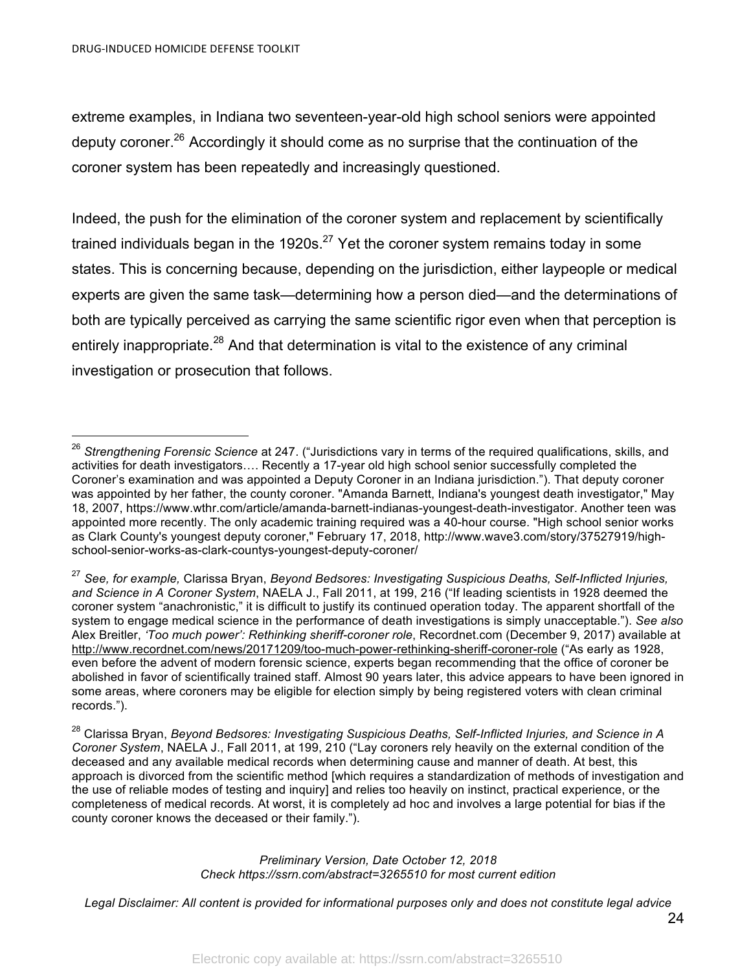extreme examples, in Indiana two seventeen-year-old high school seniors were appointed deputy coroner.<sup>26</sup> Accordingly it should come as no surprise that the continuation of the coroner system has been repeatedly and increasingly questioned.

Indeed, the push for the elimination of the coroner system and replacement by scientifically trained individuals began in the 1920s. $^{27}$  Yet the coroner system remains today in some states. This is concerning because, depending on the jurisdiction, either laypeople or medical experts are given the same task—determining how a person died—and the determinations of both are typically perceived as carrying the same scientific rigor even when that perception is entirely inappropriate.<sup>28</sup> And that determination is vital to the existence of any criminal investigation or prosecution that follows.

*Preliminary Version, Date October 12, 2018 Check https://ssrn.com/abstract=3265510 for most current edition*

 <sup>26</sup> *Strengthening Forensic Science* at 247. ("Jurisdictions vary in terms of the required qualifications, skills, and activities for death investigators…. Recently a 17-year old high school senior successfully completed the Coroner's examination and was appointed a Deputy Coroner in an Indiana jurisdiction."). That deputy coroner was appointed by her father, the county coroner. "Amanda Barnett, Indiana's youngest death investigator," May 18, 2007, https://www.wthr.com/article/amanda-barnett-indianas-youngest-death-investigator. Another teen was appointed more recently. The only academic training required was a 40-hour course. "High school senior works as Clark County's youngest deputy coroner," February 17, 2018, http://www.wave3.com/story/37527919/highschool-senior-works-as-clark-countys-youngest-deputy-coroner/

<sup>27</sup> *See, for example,* Clarissa Bryan, *Beyond Bedsores: Investigating Suspicious Deaths, Self-Inflicted Injuries, and Science in A Coroner System*, NAELA J., Fall 2011, at 199, 216 ("If leading scientists in 1928 deemed the coroner system "anachronistic," it is difficult to justify its continued operation today. The apparent shortfall of the system to engage medical science in the performance of death investigations is simply unacceptable."). *See also*  Alex Breitler, *'Too much power': Rethinking sheriff-coroner role*, Recordnet.com (December 9, 2017) available at http://www.recordnet.com/news/20171209/too-much-power-rethinking-sheriff-coroner-role ("As early as 1928, even before the advent of modern forensic science, experts began recommending that the office of coroner be abolished in favor of scientifically trained staff. Almost 90 years later, this advice appears to have been ignored in some areas, where coroners may be eligible for election simply by being registered voters with clean criminal records.").

<sup>28</sup> Clarissa Bryan, *Beyond Bedsores: Investigating Suspicious Deaths, Self-Inflicted Injuries, and Science in A Coroner System*, NAELA J., Fall 2011, at 199, 210 ("Lay coroners rely heavily on the external condition of the deceased and any available medical records when determining cause and manner of death. At best, this approach is divorced from the scientific method [which requires a standardization of methods of investigation and the use of reliable modes of testing and inquiry] and relies too heavily on instinct, practical experience, or the completeness of medical records. At worst, it is completely ad hoc and involves a large potential for bias if the county coroner knows the deceased or their family.").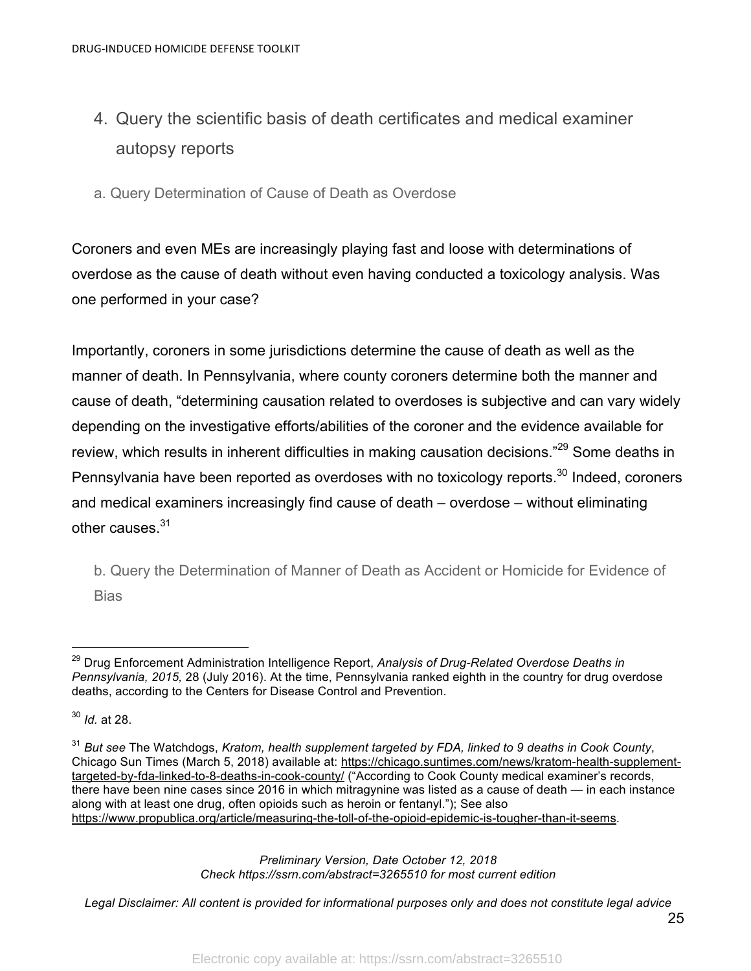- 4. Query the scientific basis of death certificates and medical examiner autopsy reports
- a. Query Determination of Cause of Death as Overdose

Coroners and even MEs are increasingly playing fast and loose with determinations of overdose as the cause of death without even having conducted a toxicology analysis. Was one performed in your case?

Importantly, coroners in some jurisdictions determine the cause of death as well as the manner of death. In Pennsylvania, where county coroners determine both the manner and cause of death, "determining causation related to overdoses is subjective and can vary widely depending on the investigative efforts/abilities of the coroner and the evidence available for review, which results in inherent difficulties in making causation decisions."<sup>29</sup> Some deaths in Pennsylvania have been reported as overdoses with no toxicology reports.<sup>30</sup> Indeed, coroners and medical examiners increasingly find cause of death – overdose – without eliminating other causes.<sup>31</sup>

b. Query the Determination of Manner of Death as Accident or Homicide for Evidence of Bias

<sup>30</sup> *Id.* at 28.

*Preliminary Version, Date October 12, 2018 Check https://ssrn.com/abstract=3265510 for most current edition*

 <sup>29</sup> Drug Enforcement Administration Intelligence Report, *Analysis of Drug-Related Overdose Deaths in Pennsylvania, 2015,* 28 (July 2016). At the time, Pennsylvania ranked eighth in the country for drug overdose deaths, according to the Centers for Disease Control and Prevention.

<sup>31</sup> *But see* The Watchdogs, *Kratom, health supplement targeted by FDA, linked to 9 deaths in Cook County*, Chicago Sun Times (March 5, 2018) available at: https://chicago.suntimes.com/news/kratom-health-supplementtargeted-by-fda-linked-to-8-deaths-in-cook-county/ ("According to Cook County medical examiner's records, there have been nine cases since 2016 in which mitragynine was listed as a cause of death — in each instance along with at least one drug, often opioids such as heroin or fentanyl."); See also https://www.propublica.org/article/measuring-the-toll-of-the-opioid-epidemic-is-tougher-than-it-seems.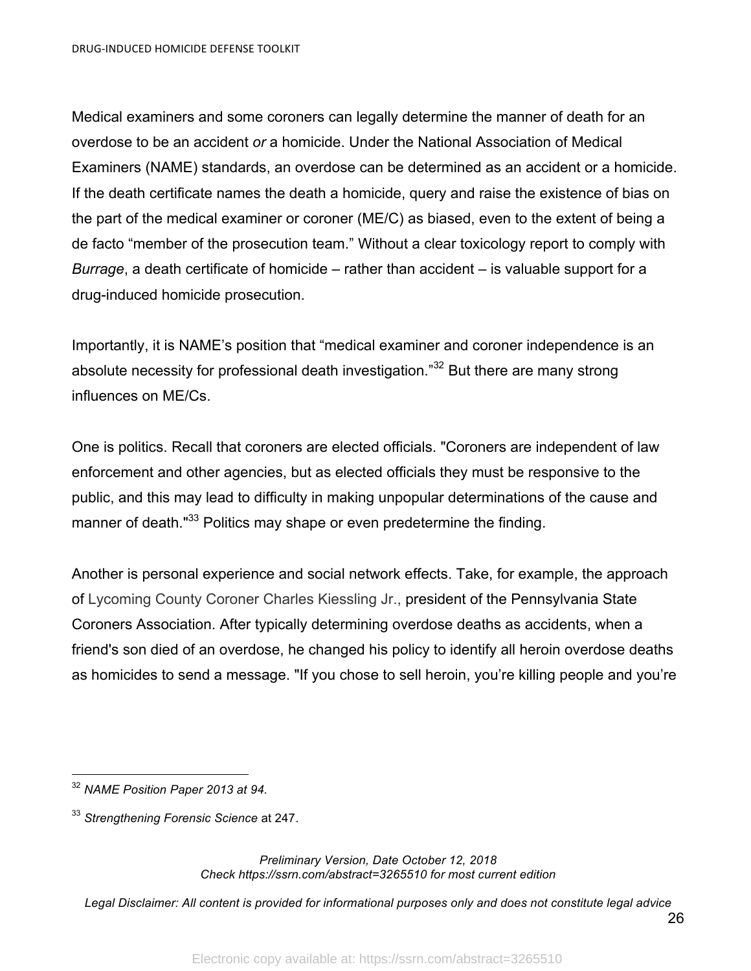Medical examiners and some coroners can legally determine the manner of death for an overdose to be an accident *or* a homicide. Under the National Association of Medical Examiners (NAME) standards, an overdose can be determined as an accident or a homicide. If the death certificate names the death a homicide, query and raise the existence of bias on the part of the medical examiner or coroner (ME/C) as biased, even to the extent of being a de facto "member of the prosecution team." Without a clear toxicology report to comply with *Burrage*, a death certificate of homicide – rather than accident – is valuable support for a drug-induced homicide prosecution.

Importantly, it is NAME's position that "medical examiner and coroner independence is an absolute necessity for professional death investigation."<sup>32</sup> But there are many strong influences on ME/Cs.

One is politics. Recall that coroners are elected officials. "Coroners are independent of law enforcement and other agencies, but as elected officials they must be responsive to the public, and this may lead to difficulty in making unpopular determinations of the cause and manner of death."<sup>33</sup> Politics may shape or even predetermine the finding.

Another is personal experience and social network effects. Take, for example, the approach of Lycoming County Coroner Charles Kiessling Jr., president of the Pennsylvania State Coroners Association. After typically determining overdose deaths as accidents, when a friend's son died of an overdose, he changed his policy to identify all heroin overdose deaths as homicides to send a message. "If you chose to sell heroin, you're killing people and you're

*Preliminary Version, Date October 12, 2018 Check https://ssrn.com/abstract=3265510 for most current edition*

 <sup>32</sup> *NAME Position Paper 2013 at 94.*

<sup>33</sup> *Strengthening Forensic Science* at 247.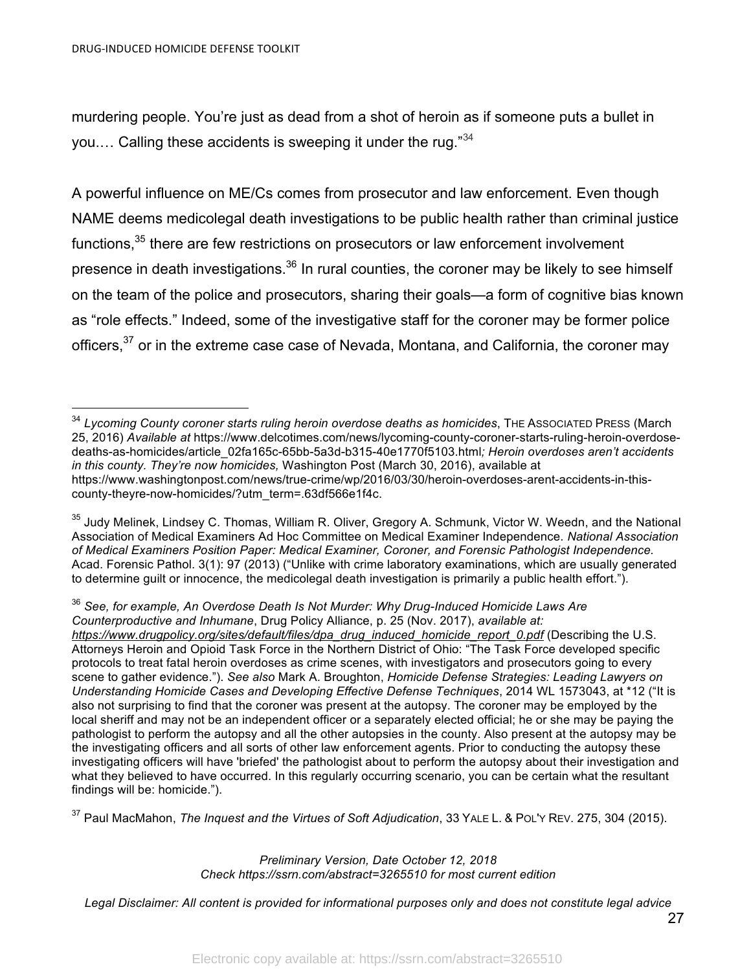murdering people. You're just as dead from a shot of heroin as if someone puts a bullet in you.... Calling these accidents is sweeping it under the rug." $^{34}$ 

A powerful influence on ME/Cs comes from prosecutor and law enforcement. Even though NAME deems medicolegal death investigations to be public health rather than criminal justice functions,<sup>35</sup> there are few restrictions on prosecutors or law enforcement involvement presence in death investigations.<sup>36</sup> In rural counties, the coroner may be likely to see himself on the team of the police and prosecutors, sharing their goals—a form of cognitive bias known as "role effects." Indeed, some of the investigative staff for the coroner may be former police officers,<sup>37</sup> or in the extreme case case of Nevada, Montana, and California, the coroner may

<sup>36</sup> *See, for example, An Overdose Death Is Not Murder: Why Drug-Induced Homicide Laws Are Counterproductive and Inhumane*, Drug Policy Alliance, p. 25 (Nov. 2017), *available at:* 

*https://www.drugpolicy.org/sites/default/files/dpa\_drug\_induced\_homicide\_report\_0.pdf* (Describing the U.S. Attorneys Heroin and Opioid Task Force in the Northern District of Ohio: "The Task Force developed specific protocols to treat fatal heroin overdoses as crime scenes, with investigators and prosecutors going to every scene to gather evidence."). *See also* Mark A. Broughton, *Homicide Defense Strategies: Leading Lawyers on Understanding Homicide Cases and Developing Effective Defense Techniques*, 2014 WL 1573043, at \*12 ("It is also not surprising to find that the coroner was present at the autopsy. The coroner may be employed by the local sheriff and may not be an independent officer or a separately elected official; he or she may be paying the pathologist to perform the autopsy and all the other autopsies in the county. Also present at the autopsy may be the investigating officers and all sorts of other law enforcement agents. Prior to conducting the autopsy these investigating officers will have 'briefed' the pathologist about to perform the autopsy about their investigation and what they believed to have occurred. In this regularly occurring scenario, you can be certain what the resultant findings will be: homicide.").

37 Paul MacMahon, *The Inquest and the Virtues of Soft Adjudication*, 33 YALE L. & POL'Y REV. 275, 304 (2015).

*Preliminary Version, Date October 12, 2018 Check https://ssrn.com/abstract=3265510 for most current edition*

<sup>&</sup>lt;sup>34</sup> Lvcoming County coroner starts ruling heroin overdose deaths as homicides, THE ASSOCIATED PRESS (March 25, 2016) *Available at* https://www.delcotimes.com/news/lycoming-county-coroner-starts-ruling-heroin-overdosedeaths-as-homicides/article\_02fa165c-65bb-5a3d-b315-40e1770f5103.html*; Heroin overdoses aren't accidents in this county. They're now homicides,* Washington Post (March 30, 2016), available at https://www.washingtonpost.com/news/true-crime/wp/2016/03/30/heroin-overdoses-arent-accidents-in-thiscounty-theyre-now-homicides/?utm\_term=.63df566e1f4c.

<sup>&</sup>lt;sup>35</sup> Judy Melinek, Lindsey C. Thomas, William R. Oliver, Gregory A. Schmunk, Victor W. Weedn, and the National Association of Medical Examiners Ad Hoc Committee on Medical Examiner Independence. *National Association of Medical Examiners Position Paper: Medical Examiner, Coroner, and Forensic Pathologist Independence.*  Acad. Forensic Pathol. 3(1): 97 (2013) ("Unlike with crime laboratory examinations, which are usually generated to determine guilt or innocence, the medicolegal death investigation is primarily a public health effort.").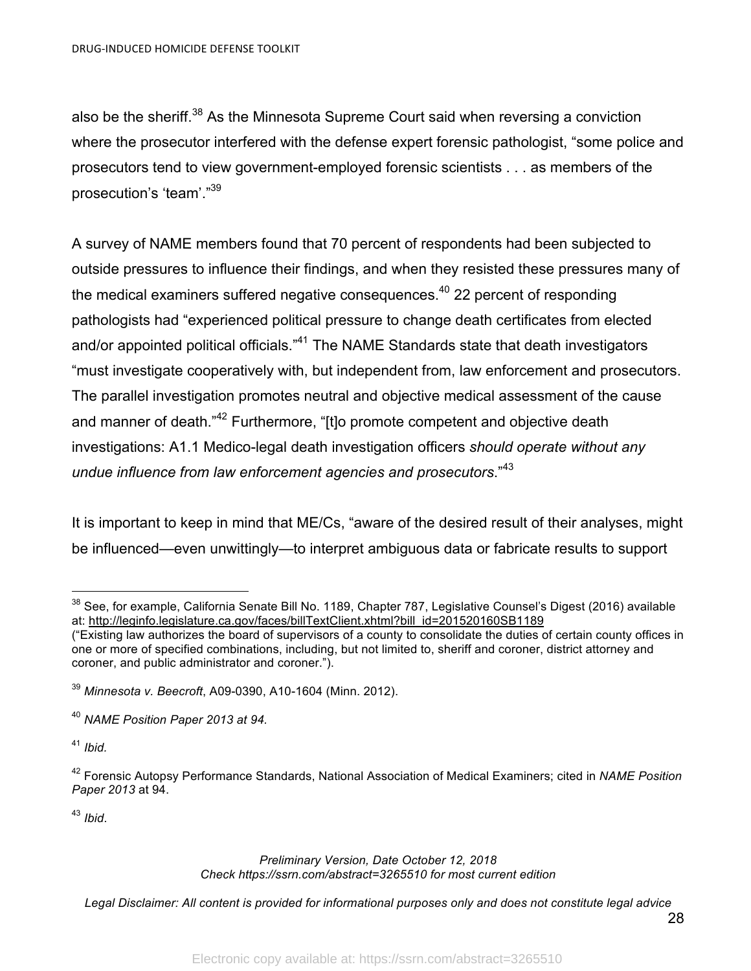also be the sheriff.<sup>38</sup> As the Minnesota Supreme Court said when reversing a conviction where the prosecutor interfered with the defense expert forensic pathologist, "some police and prosecutors tend to view government-employed forensic scientists . . . as members of the prosecution's 'team'."<sup>39</sup>

A survey of NAME members found that 70 percent of respondents had been subjected to outside pressures to influence their findings, and when they resisted these pressures many of the medical examiners suffered negative consequences.<sup>40</sup> 22 percent of responding pathologists had "experienced political pressure to change death certificates from elected and/or appointed political officials."<sup>41</sup> The NAME Standards state that death investigators "must investigate cooperatively with, but independent from, law enforcement and prosecutors. The parallel investigation promotes neutral and objective medical assessment of the cause and manner of death."<sup>42</sup> Furthermore, "[t]o promote competent and objective death investigations: A1.1 Medico-legal death investigation officers *should operate without any undue influence from law enforcement agencies and prosecutors*." 43

It is important to keep in mind that ME/Cs, "aware of the desired result of their analyses, might be influenced—even unwittingly—to interpret ambiguous data or fabricate results to support

<sup>41</sup> *Ibid.*

<sup>43</sup> *Ibid*.

#### *Preliminary Version, Date October 12, 2018 Check https://ssrn.com/abstract=3265510 for most current edition*

<sup>&</sup>lt;sup>38</sup> See, for example, California Senate Bill No. 1189, Chapter 787, Legislative Counsel's Digest (2016) available at: http://leginfo.legislature.ca.gov/faces/billTextClient.xhtml?bill\_id=201520160SB1189

<sup>(&</sup>quot;Existing law authorizes the board of supervisors of a county to consolidate the duties of certain county offices in one or more of specified combinations, including, but not limited to, sheriff and coroner, district attorney and coroner, and public administrator and coroner.").

<sup>39</sup> *Minnesota v. Beecroft*, A09-0390, A10-1604 (Minn. 2012).

<sup>40</sup> *NAME Position Paper 2013 at 94.*

<sup>42</sup> Forensic Autopsy Performance Standards, National Association of Medical Examiners; cited in *NAME Position Paper 2013* at 94.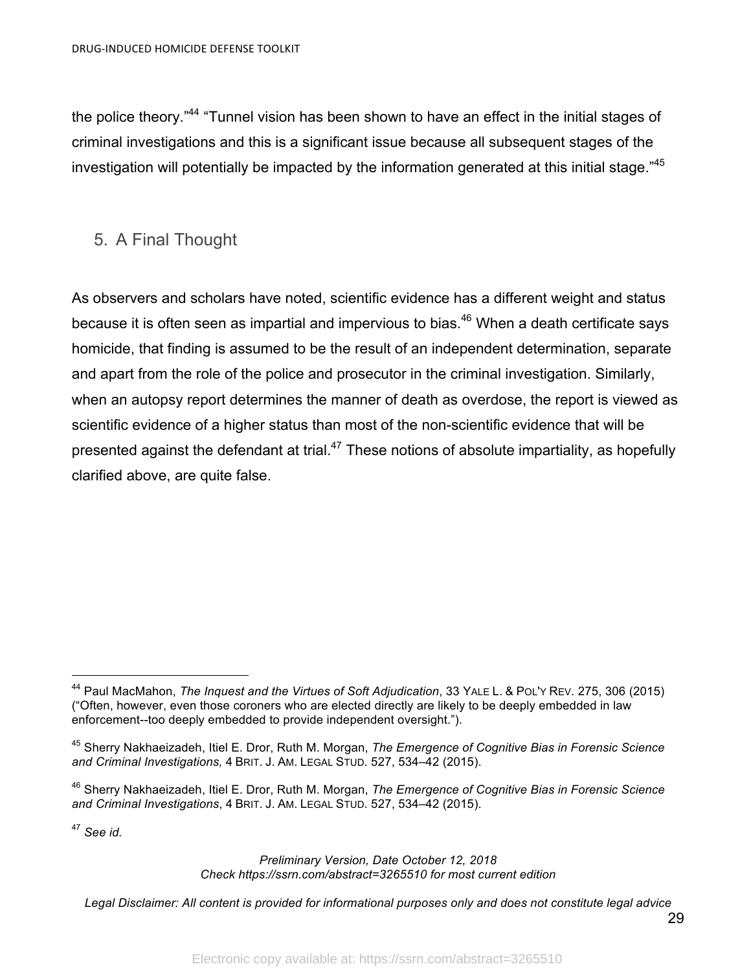the police theory."<sup>44</sup> "Tunnel vision has been shown to have an effect in the initial stages of criminal investigations and this is a significant issue because all subsequent stages of the investigation will potentially be impacted by the information generated at this initial stage."<sup>45</sup>

## 5. A Final Thought

As observers and scholars have noted, scientific evidence has a different weight and status because it is often seen as impartial and impervious to bias.<sup>46</sup> When a death certificate says homicide, that finding is assumed to be the result of an independent determination, separate and apart from the role of the police and prosecutor in the criminal investigation. Similarly, when an autopsy report determines the manner of death as overdose, the report is viewed as scientific evidence of a higher status than most of the non-scientific evidence that will be presented against the defendant at trial.<sup>47</sup> These notions of absolute impartiality, as hopefully clarified above, are quite false.

<sup>47</sup> *See id.*

*Preliminary Version, Date October 12, 2018 Check https://ssrn.com/abstract=3265510 for most current edition*

 <sup>44</sup> Paul MacMahon, *The Inquest and the Virtues of Soft Adjudication*, 33 YALE L. & POL'Y REV. 275, 306 (2015) ("Often, however, even those coroners who are elected directly are likely to be deeply embedded in law enforcement--too deeply embedded to provide independent oversight.").

<sup>45</sup> Sherry Nakhaeizadeh, Itiel E. Dror, Ruth M. Morgan, *The Emergence of Cognitive Bias in Forensic Science and Criminal Investigations,* 4 BRIT. J. AM. LEGAL STUD. 527, 534–42 (2015).

<sup>46</sup> Sherry Nakhaeizadeh, Itiel E. Dror, Ruth M. Morgan, *The Emergence of Cognitive Bias in Forensic Science and Criminal Investigations*, 4 BRIT. J. AM. LEGAL STUD. 527, 534–42 (2015).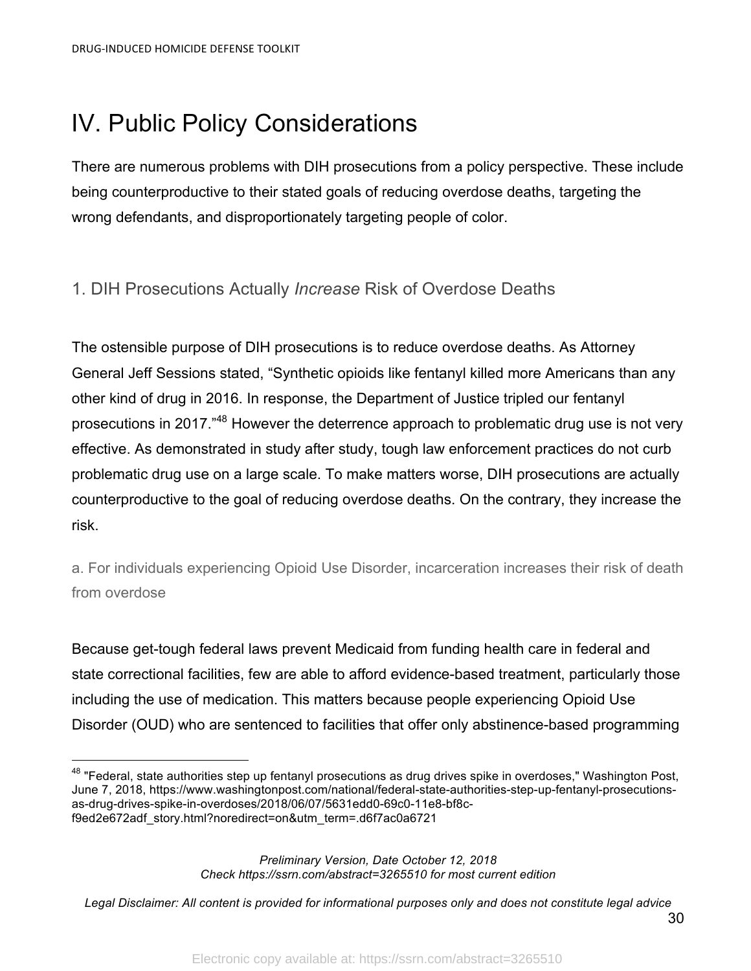# IV. Public Policy Considerations

There are numerous problems with DIH prosecutions from a policy perspective. These include being counterproductive to their stated goals of reducing overdose deaths, targeting the wrong defendants, and disproportionately targeting people of color.

## 1. DIH Prosecutions Actually *Increase* Risk of Overdose Deaths

The ostensible purpose of DIH prosecutions is to reduce overdose deaths. As Attorney General Jeff Sessions stated, "Synthetic opioids like fentanyl killed more Americans than any other kind of drug in 2016. In response, the Department of Justice tripled our fentanyl prosecutions in 2017."<sup>48</sup> However the deterrence approach to problematic drug use is not very effective. As demonstrated in study after study, tough law enforcement practices do not curb problematic drug use on a large scale. To make matters worse, DIH prosecutions are actually counterproductive to the goal of reducing overdose deaths. On the contrary, they increase the risk.

a. For individuals experiencing Opioid Use Disorder, incarceration increases their risk of death from overdose

Because get-tough federal laws prevent Medicaid from funding health care in federal and state correctional facilities, few are able to afford evidence-based treatment, particularly those including the use of medication. This matters because people experiencing Opioid Use Disorder (OUD) who are sentenced to facilities that offer only abstinence-based programming

*Preliminary Version, Date October 12, 2018 Check https://ssrn.com/abstract=3265510 for most current edition*

<sup>&</sup>lt;sup>48</sup> "Federal, state authorities step up fentanyl prosecutions as drug drives spike in overdoses," Washington Post, June 7, 2018, https://www.washingtonpost.com/national/federal-state-authorities-step-up-fentanyl-prosecutionsas-drug-drives-spike-in-overdoses/2018/06/07/5631edd0-69c0-11e8-bf8cf9ed2e672adf\_story.html?noredirect=on&utm\_term=.d6f7ac0a6721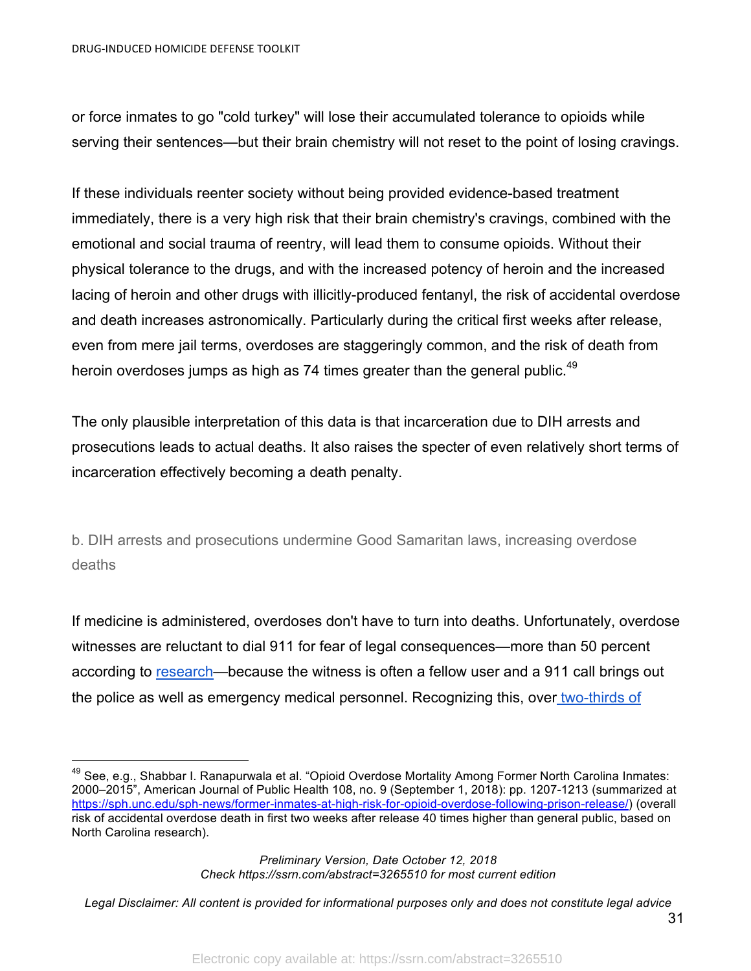or force inmates to go "cold turkey" will lose their accumulated tolerance to opioids while serving their sentences—but their brain chemistry will not reset to the point of losing cravings.

If these individuals reenter society without being provided evidence-based treatment immediately, there is a very high risk that their brain chemistry's cravings, combined with the emotional and social trauma of reentry, will lead them to consume opioids. Without their physical tolerance to the drugs, and with the increased potency of heroin and the increased lacing of heroin and other drugs with illicitly-produced fentanyl, the risk of accidental overdose and death increases astronomically. Particularly during the critical first weeks after release, even from mere jail terms, overdoses are staggeringly common, and the risk of death from heroin overdoses jumps as high as 74 times greater than the general public.<sup>49</sup>

The only plausible interpretation of this data is that incarceration due to DIH arrests and prosecutions leads to actual deaths. It also raises the specter of even relatively short terms of incarceration effectively becoming a death penalty.

b. DIH arrests and prosecutions undermine Good Samaritan laws, increasing overdose deaths

If medicine is administered, overdoses don't have to turn into deaths. Unfortunately, overdose witnesses are reluctant to dial 911 for fear of legal consequences—more than 50 percent according to research—because the witness is often a fellow user and a 911 call brings out the police as well as emergency medical personnel. Recognizing this, over two-thirds of

*Preliminary Version, Date October 12, 2018 Check https://ssrn.com/abstract=3265510 for most current edition*

<sup>&</sup>lt;sup>49</sup> See, e.g., Shabbar I. Ranapurwala et al. "Opioid Overdose Mortality Among Former North Carolina Inmates: 2000–2015", American Journal of Public Health 108, no. 9 (September 1, 2018): pp. 1207-1213 (summarized at https://sph.unc.edu/sph-news/former-inmates-at-high-risk-for-opioid-overdose-following-prison-release/) (overall risk of accidental overdose death in first two weeks after release 40 times higher than general public, based on North Carolina research).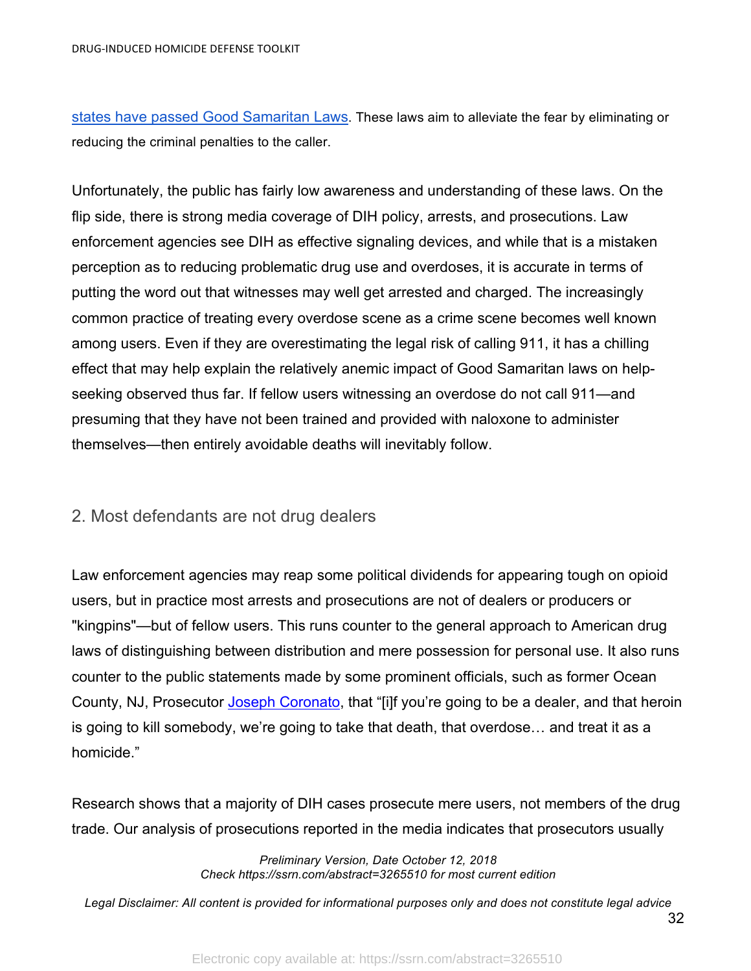states have passed Good Samaritan Laws. These laws aim to alleviate the fear by eliminating or reducing the criminal penalties to the caller.

Unfortunately, the public has fairly low awareness and understanding of these laws. On the flip side, there is strong media coverage of DIH policy, arrests, and prosecutions. Law enforcement agencies see DIH as effective signaling devices, and while that is a mistaken perception as to reducing problematic drug use and overdoses, it is accurate in terms of putting the word out that witnesses may well get arrested and charged. The increasingly common practice of treating every overdose scene as a crime scene becomes well known among users. Even if they are overestimating the legal risk of calling 911, it has a chilling effect that may help explain the relatively anemic impact of Good Samaritan laws on helpseeking observed thus far. If fellow users witnessing an overdose do not call 911—and presuming that they have not been trained and provided with naloxone to administer themselves—then entirely avoidable deaths will inevitably follow.

### 2. Most defendants are not drug dealers

Law enforcement agencies may reap some political dividends for appearing tough on opioid users, but in practice most arrests and prosecutions are not of dealers or producers or "kingpins"—but of fellow users. This runs counter to the general approach to American drug laws of distinguishing between distribution and mere possession for personal use. It also runs counter to the public statements made by some prominent officials, such as former Ocean County, NJ, Prosecutor Joseph Coronato, that "[i]f you're going to be a dealer, and that heroin is going to kill somebody, we're going to take that death, that overdose… and treat it as a homicide."

Research shows that a majority of DIH cases prosecute mere users, not members of the drug trade. Our analysis of prosecutions reported in the media indicates that prosecutors usually

> *Preliminary Version, Date October 12, 2018 Check https://ssrn.com/abstract=3265510 for most current edition*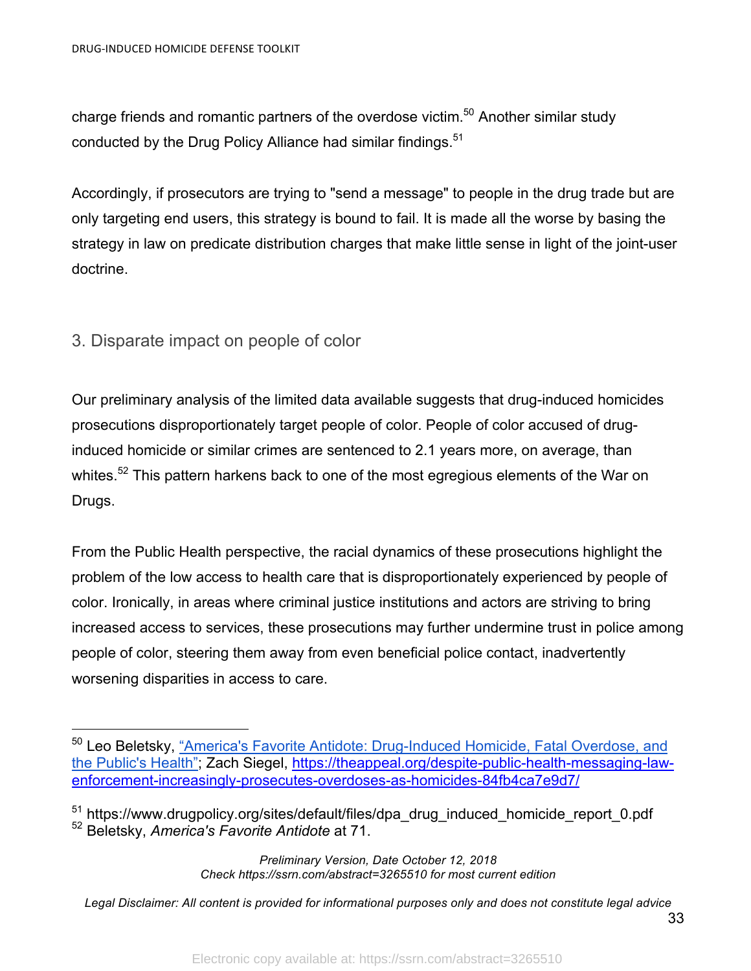charge friends and romantic partners of the overdose victim.<sup>50</sup> Another similar study conducted by the Drug Policy Alliance had similar findings.<sup>51</sup>

Accordingly, if prosecutors are trying to "send a message" to people in the drug trade but are only targeting end users, this strategy is bound to fail. It is made all the worse by basing the strategy in law on predicate distribution charges that make little sense in light of the joint-user doctrine.

## 3. Disparate impact on people of color

Our preliminary analysis of the limited data available suggests that drug-induced homicides prosecutions disproportionately target people of color. People of color accused of druginduced homicide or similar crimes are sentenced to 2.1 years more, on average, than whites.<sup>52</sup> This pattern harkens back to one of the most egregious elements of the War on Drugs.

From the Public Health perspective, the racial dynamics of these prosecutions highlight the problem of the low access to health care that is disproportionately experienced by people of color. Ironically, in areas where criminal justice institutions and actors are striving to bring increased access to services, these prosecutions may further undermine trust in police among people of color, steering them away from even beneficial police contact, inadvertently worsening disparities in access to care.

*Preliminary Version, Date October 12, 2018 Check https://ssrn.com/abstract=3265510 for most current edition*

<sup>&</sup>lt;sup>50</sup> Leo Beletsky, "America's Favorite Antidote: Drug-Induced Homicide, Fatal Overdose, and the Public's Health"; Zach Siegel, https://theappeal.org/despite-public-health-messaging-lawenforcement-increasingly-prosecutes-overdoses-as-homicides-84fb4ca7e9d7/

<sup>&</sup>lt;sup>51</sup> https://www.drugpolicy.org/sites/default/files/dpa\_drug\_induced\_homicide\_report\_0.pdf<br><sup>52</sup> Beletsky, *America's Favorite Antidote* at 71.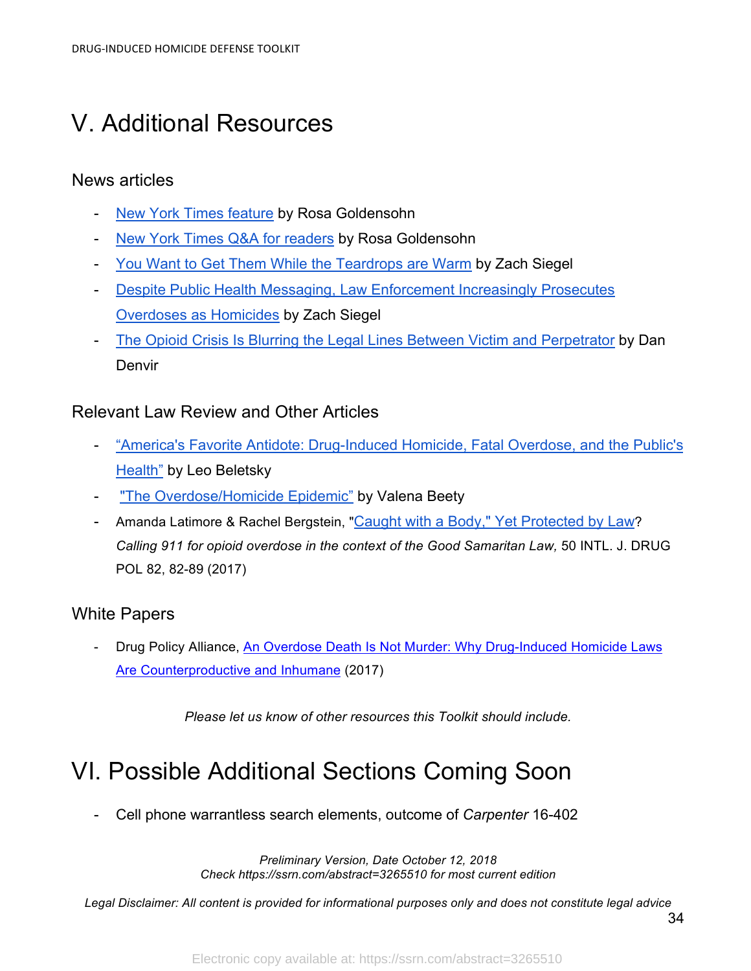# V. Additional Resources

## News articles

- New York Times feature by Rosa Goldensohn
- New York Times Q&A for readers by Rosa Goldensohn
- You Want to Get Them While the Teardrops are Warm by Zach Siegel
- Despite Public Health Messaging, Law Enforcement Increasingly Prosecutes Overdoses as Homicides by Zach Siegel
- The Opioid Crisis Is Blurring the Legal Lines Between Victim and Perpetrator by Dan Denvir

## Relevant Law Review and Other Articles

- "America's Favorite Antidote: Drug-Induced Homicide, Fatal Overdose, and the Public's **Health**" by Leo Beletsky
- "The Overdose/Homicide Epidemic" by Valena Beety
- Amanda Latimore & Rachel Bergstein, "Caught with a Body," Yet Protected by Law? *Calling 911 for opioid overdose in the context of the Good Samaritan Law,* 50 INTL. J. DRUG POL 82, 82-89 (2017)

### White Papers

Drug Policy Alliance, An Overdose Death Is Not Murder: Why Drug-Induced Homicide Laws Are Counterproductive and Inhumane (2017)

*Please let us know of other resources this Toolkit should include.*

# VI. Possible Additional Sections Coming Soon

- Cell phone warrantless search elements, outcome of *Carpenter* 16-402

*Preliminary Version, Date October 12, 2018 Check https://ssrn.com/abstract=3265510 for most current edition*